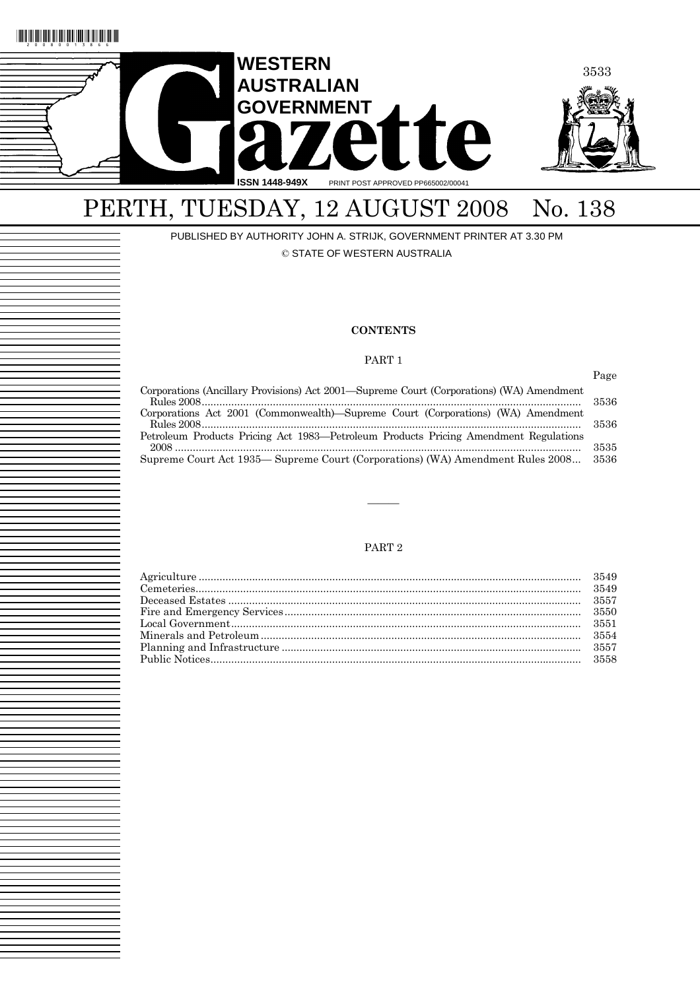

# PERTH, TUESDAY, 12 AUGUST 2008 No. 138

PUBLISHED BY AUTHORITY JOHN A. STRIJK, GOVERNMENT PRINTER AT 3.30 PM © STATE OF WESTERN AUSTRALIA

#### **CONTENTS**

#### PART 1

|                                                                                          | Page  |
|------------------------------------------------------------------------------------------|-------|
| Corporations (Ancillary Provisions) Act 2001—Supreme Court (Corporations) (WA) Amendment | -3536 |
| Corporations Act 2001 (Commonwealth)—Supreme Court (Corporations) (WA) Amendment         | -3536 |
| Petroleum Products Pricing Act 1983—Petroleum Products Pricing Amendment Regulations     | 3535  |
| Supreme Court Act 1935— Supreme Court (Corporations) (WA) Amendment Rules 2008           | 3536  |

#### PART 2

———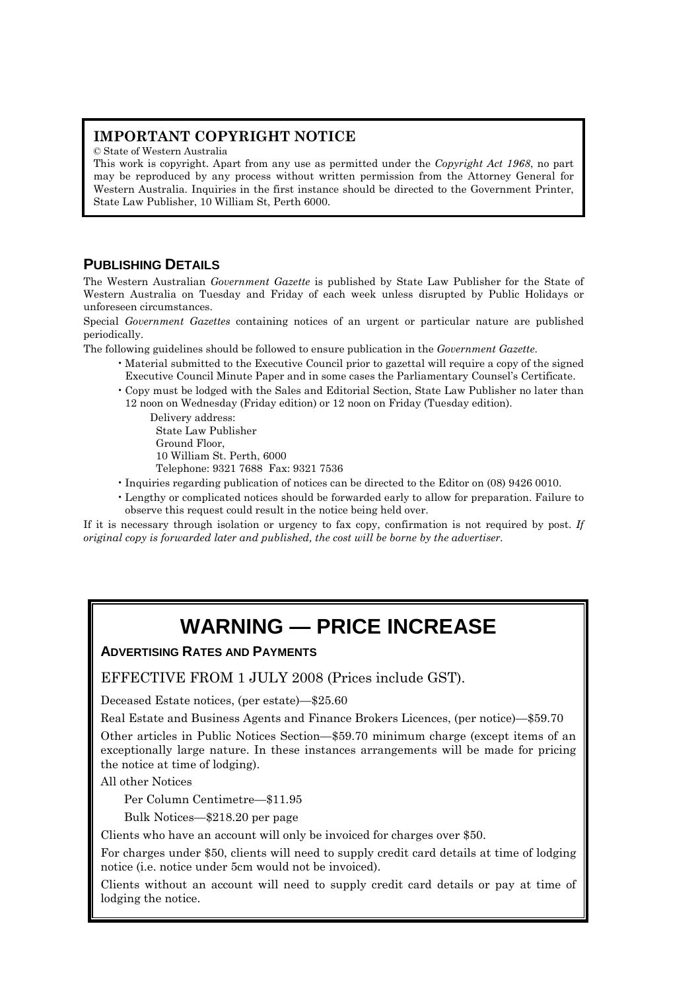# **IMPORTANT COPYRIGHT NOTICE**

© State of Western Australia

This work is copyright. Apart from any use as permitted under the *Copyright Act 1968*, no part may be reproduced by any process without written permission from the Attorney General for Western Australia. Inquiries in the first instance should be directed to the Government Printer, State Law Publisher, 10 William St, Perth 6000.

# **PUBLISHING DETAILS**

The Western Australian *Government Gazette* is published by State Law Publisher for the State of Western Australia on Tuesday and Friday of each week unless disrupted by Public Holidays or unforeseen circumstances.

Special *Government Gazettes* containing notices of an urgent or particular nature are published periodically.

The following guidelines should be followed to ensure publication in the *Government Gazette*.

- Material submitted to the Executive Council prior to gazettal will require a copy of the signed Executive Council Minute Paper and in some cases the Parliamentary Counsel's Certificate.
- Copy must be lodged with the Sales and Editorial Section, State Law Publisher no later than 12 noon on Wednesday (Friday edition) or 12 noon on Friday (Tuesday edition).

Delivery address: State Law Publisher Ground Floor, 10 William St. Perth, 6000 Telephone: 9321 7688 Fax: 9321 7536

- Inquiries regarding publication of notices can be directed to the Editor on (08) 9426 0010.
- Lengthy or complicated notices should be forwarded early to allow for preparation. Failure to observe this request could result in the notice being held over.

If it is necessary through isolation or urgency to fax copy, confirmation is not required by post. *If original copy is forwarded later and published, the cost will be borne by the advertiser.* 

# **WARNING — PRICE INCREASE**

**ADVERTISING RATES AND PAYMENTS**

EFFECTIVE FROM 1 JULY 2008 (Prices include GST).

Deceased Estate notices, (per estate)—\$25.60

Real Estate and Business Agents and Finance Brokers Licences, (per notice)—\$59.70

Other articles in Public Notices Section—\$59.70 minimum charge (except items of an exceptionally large nature. In these instances arrangements will be made for pricing the notice at time of lodging).

All other Notices

Per Column Centimetre—\$11.95

Bulk Notices—\$218.20 per page

Clients who have an account will only be invoiced for charges over \$50.

For charges under \$50, clients will need to supply credit card details at time of lodging notice (i.e. notice under 5cm would not be invoiced).

Clients without an account will need to supply credit card details or pay at time of lodging the notice.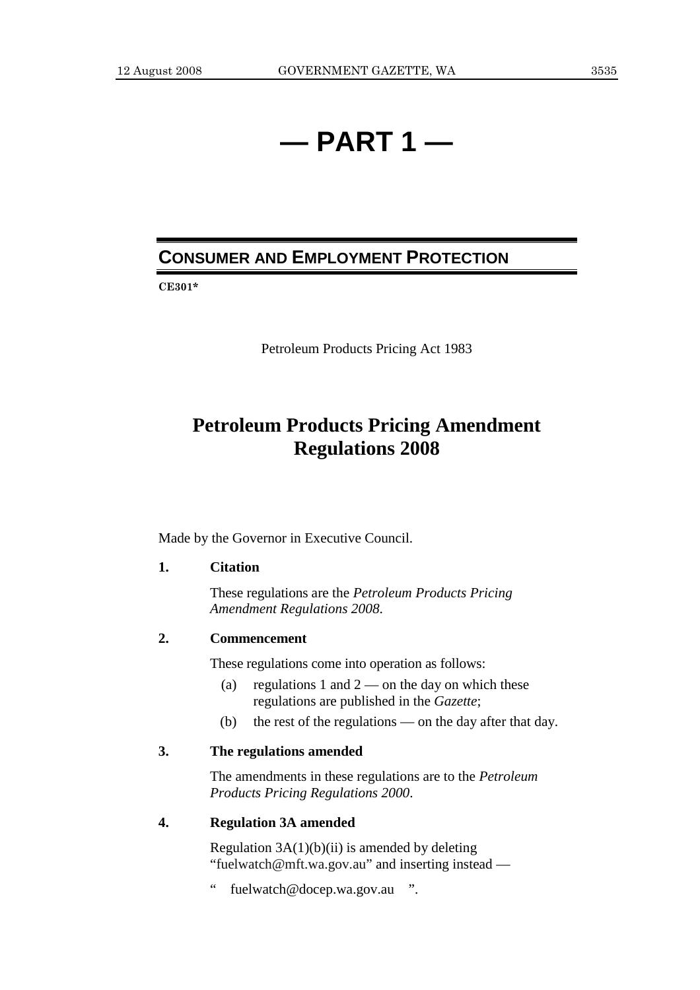# **— PART 1 —**

# **CONSUMER AND EMPLOYMENT PROTECTION**

**CE301\*** 

Petroleum Products Pricing Act 1983

# **Petroleum Products Pricing Amendment Regulations 2008**

Made by the Governor in Executive Council.

### **1. Citation**

 These regulations are the *Petroleum Products Pricing Amendment Regulations 2008*.

## **2. Commencement**

These regulations come into operation as follows:

- (a) regulations 1 and  $2$  on the day on which these regulations are published in the *Gazette*;
- (b) the rest of the regulations on the day after that day.

# **3. The regulations amended**

 The amendments in these regulations are to the *Petroleum Products Pricing Regulations 2000*.

#### **4. Regulation 3A amended**

Regulation  $3A(1)(b)(ii)$  is amended by deleting "fuelwatch@mft.wa.gov.au" and inserting instead —

" fuelwatch@docep.wa.gov.au ".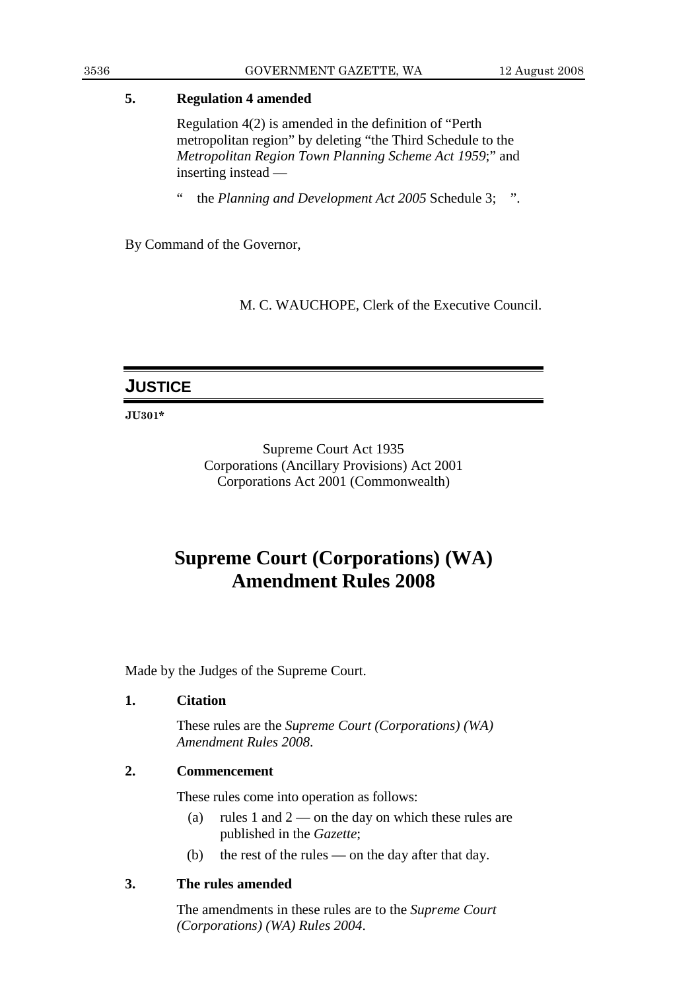# **5. Regulation 4 amended**

 Regulation 4(2) is amended in the definition of "Perth metropolitan region" by deleting "the Third Schedule to the *Metropolitan Region Town Planning Scheme Act 1959*;" and inserting instead —

" the *Planning and Development Act 2005* Schedule 3; ".

By Command of the Governor,

M. C. WAUCHOPE, Clerk of the Executive Council.

# **JUSTICE**

**JU301\*** 

Supreme Court Act 1935 Corporations (Ancillary Provisions) Act 2001 Corporations Act 2001 (Commonwealth)

# **Supreme Court (Corporations) (WA) Amendment Rules 2008**

Made by the Judges of the Supreme Court.

# **1. Citation**

 These rules are the *Supreme Court (Corporations) (WA) Amendment Rules 2008*.

# **2. Commencement**

These rules come into operation as follows:

- (a) rules 1 and  $2$  on the day on which these rules are published in the *Gazette*;
- (b) the rest of the rules on the day after that day.

# **3. The rules amended**

 The amendments in these rules are to the *Supreme Court (Corporations) (WA) Rules 2004*.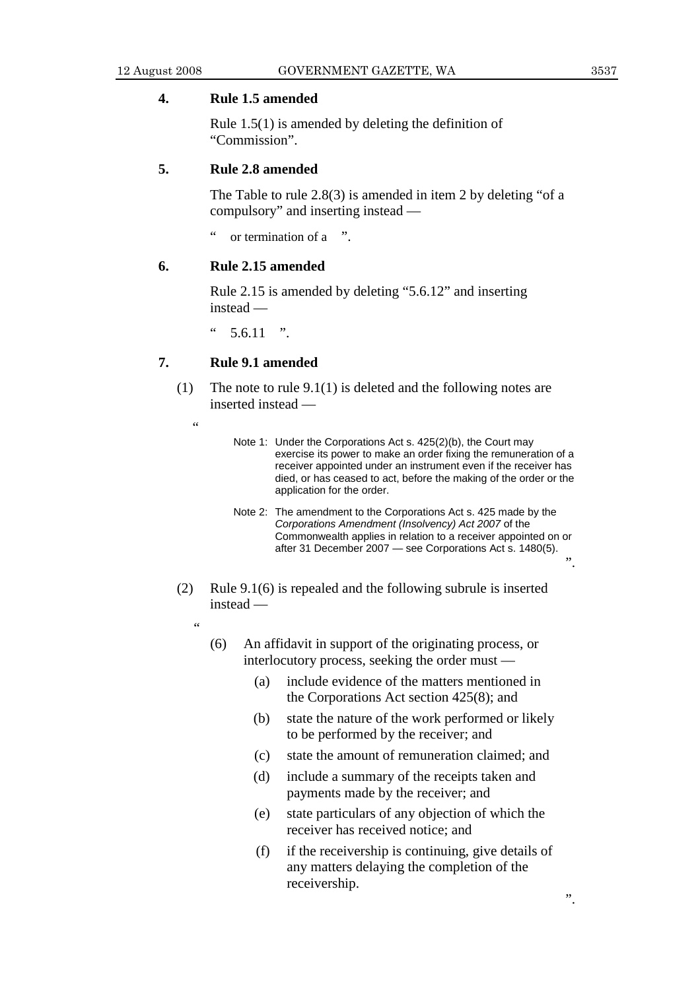### **4. Rule 1.5 amended**

 Rule 1.5(1) is amended by deleting the definition of "Commission".

#### **5. Rule 2.8 amended**

 The Table to rule 2.8(3) is amended in item 2 by deleting "of a compulsory" and inserting instead —

or termination of a ".

#### **6. Rule 2.15 amended**

 Rule 2.15 is amended by deleting "5.6.12" and inserting instead —

 $5.6.11$  ".

#### **7. Rule 9.1 amended**

- (1) The note to rule 9.1(1) is deleted and the following notes are inserted instead —
	- $\epsilon$
- Note 1: Under the Corporations Act s. 425(2)(b), the Court may exercise its power to make an order fixing the remuneration of a receiver appointed under an instrument even if the receiver has died, or has ceased to act, before the making of the order or the application for the order.
- Note 2: The amendment to the Corporations Act s. 425 made by the *Corporations Amendment (Insolvency) Act 2007* of the Commonwealth applies in relation to a receiver appointed on or after 31 December 2007 — see Corporations Act s. 1480(5).
- (2) Rule 9.1(6) is repealed and the following subrule is inserted instead —
	- ,<br>,
		- (6) An affidavit in support of the originating process, or interlocutory process, seeking the order must —
			- (a) include evidence of the matters mentioned in the Corporations Act section 425(8); and
			- (b) state the nature of the work performed or likely to be performed by the receiver; and
			- (c) state the amount of remuneration claimed; and
			- (d) include a summary of the receipts taken and payments made by the receiver; and
			- (e) state particulars of any objection of which the receiver has received notice; and
			- (f) if the receivership is continuing, give details of any matters delaying the completion of the receivership.

".

 $\ddot{ }$ .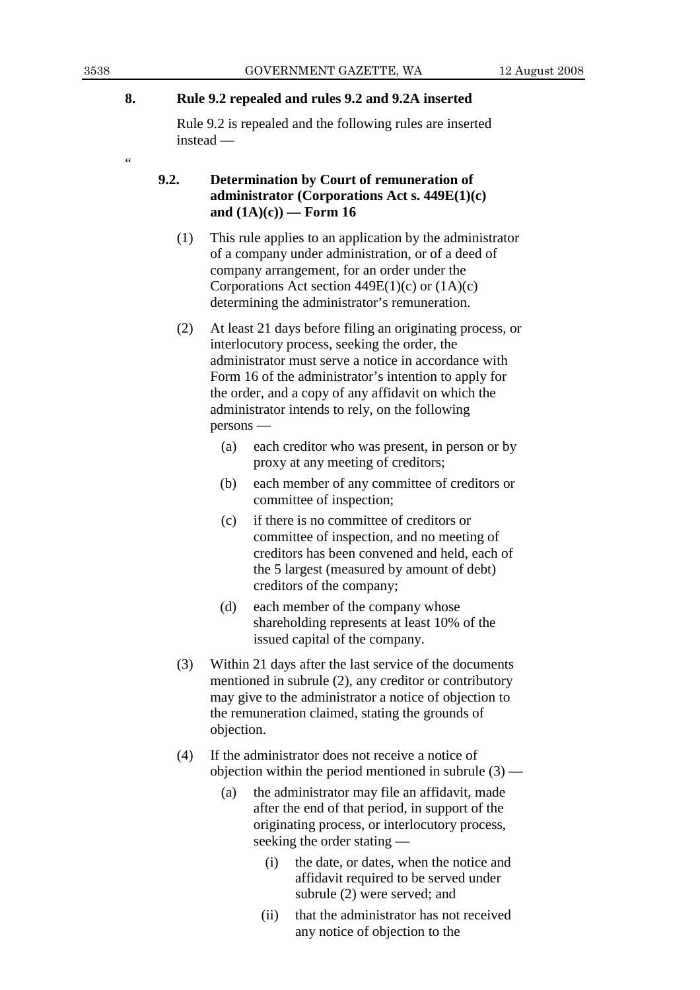## **8. Rule 9.2 repealed and rules 9.2 and 9.2A inserted**

 Rule 9.2 is repealed and the following rules are inserted instead —

# **9.2. Determination by Court of remuneration of administrator (Corporations Act s. 449E(1)(c) and (1A)(c)) — Form 16**

- (1) This rule applies to an application by the administrator of a company under administration, or of a deed of company arrangement, for an order under the Corporations Act section  $449E(1)(c)$  or  $(1A)(c)$ determining the administrator's remuneration.
- (2) At least 21 days before filing an originating process, or interlocutory process, seeking the order, the administrator must serve a notice in accordance with Form 16 of the administrator's intention to apply for the order, and a copy of any affidavit on which the administrator intends to rely, on the following persons —
	- (a) each creditor who was present, in person or by proxy at any meeting of creditors;
	- (b) each member of any committee of creditors or committee of inspection;
	- (c) if there is no committee of creditors or committee of inspection, and no meeting of creditors has been convened and held, each of the 5 largest (measured by amount of debt) creditors of the company;
	- (d) each member of the company whose shareholding represents at least 10% of the issued capital of the company.
- (3) Within 21 days after the last service of the documents mentioned in subrule (2), any creditor or contributory may give to the administrator a notice of objection to the remuneration claimed, stating the grounds of objection.
- (4) If the administrator does not receive a notice of objection within the period mentioned in subrule  $(3)$  —
	- (a) the administrator may file an affidavit, made after the end of that period, in support of the originating process, or interlocutory process, seeking the order stating —
		- (i) the date, or dates, when the notice and affidavit required to be served under subrule (2) were served; and
		- (ii) that the administrator has not received any notice of objection to the

.<br>44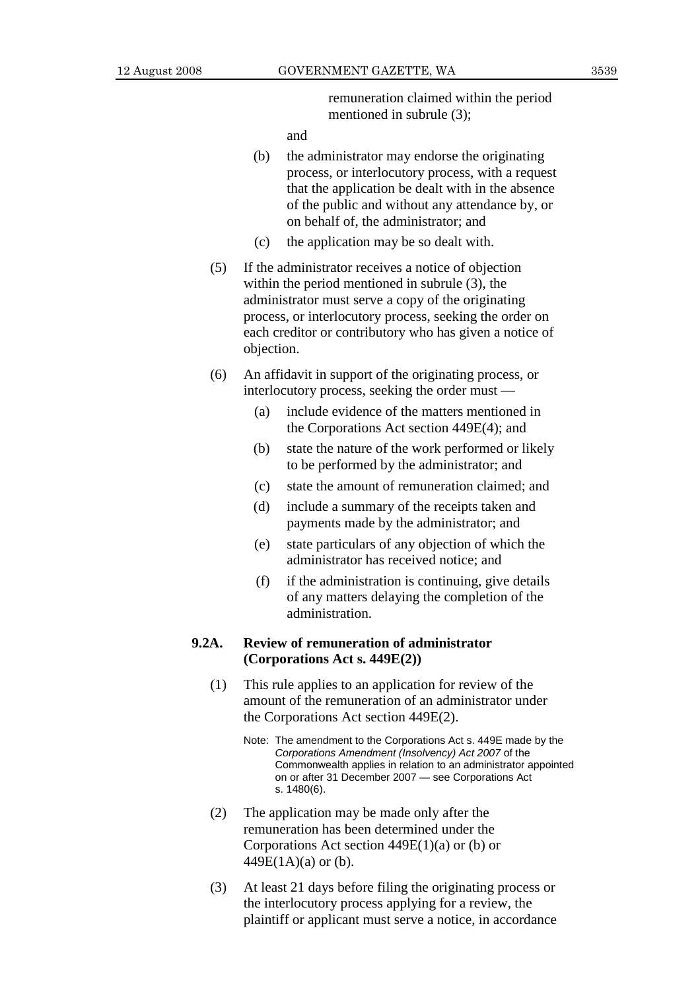remuneration claimed within the period mentioned in subrule (3);

and

- (b) the administrator may endorse the originating process, or interlocutory process, with a request that the application be dealt with in the absence of the public and without any attendance by, or on behalf of, the administrator; and
- (c) the application may be so dealt with.
- (5) If the administrator receives a notice of objection within the period mentioned in subrule (3), the administrator must serve a copy of the originating process, or interlocutory process, seeking the order on each creditor or contributory who has given a notice of objection.
- (6) An affidavit in support of the originating process, or interlocutory process, seeking the order must —
	- (a) include evidence of the matters mentioned in the Corporations Act section 449E(4); and
	- (b) state the nature of the work performed or likely to be performed by the administrator; and
	- (c) state the amount of remuneration claimed; and
	- (d) include a summary of the receipts taken and payments made by the administrator; and
	- (e) state particulars of any objection of which the administrator has received notice; and
	- (f) if the administration is continuing, give details of any matters delaying the completion of the administration.

## **9.2A. Review of remuneration of administrator (Corporations Act s. 449E(2))**

- (1) This rule applies to an application for review of the amount of the remuneration of an administrator under the Corporations Act section 449E(2).
	- Note: The amendment to the Corporations Act s. 449E made by the *Corporations Amendment (Insolvency) Act 2007* of the Commonwealth applies in relation to an administrator appointed on or after 31 December 2007 — see Corporations Act s. 1480(6).
- (2) The application may be made only after the remuneration has been determined under the Corporations Act section 449E(1)(a) or (b) or  $449E(1A)(a)$  or (b).
- (3) At least 21 days before filing the originating process or the interlocutory process applying for a review, the plaintiff or applicant must serve a notice, in accordance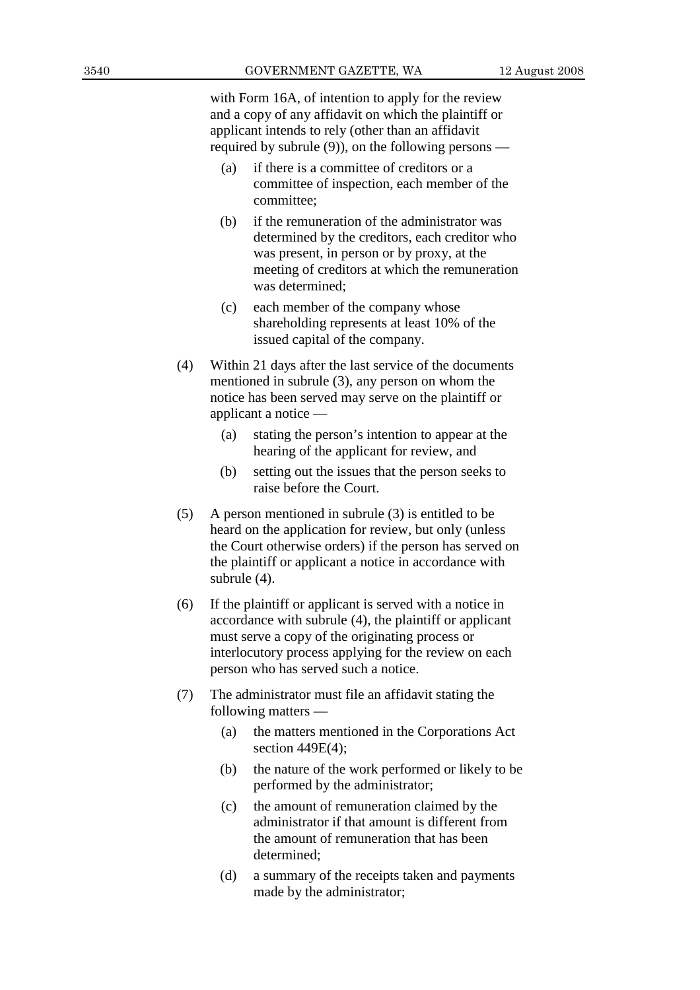with Form 16A, of intention to apply for the review and a copy of any affidavit on which the plaintiff or applicant intends to rely (other than an affidavit required by subrule (9)), on the following persons —

- (a) if there is a committee of creditors or a committee of inspection, each member of the committee;
- (b) if the remuneration of the administrator was determined by the creditors, each creditor who was present, in person or by proxy, at the meeting of creditors at which the remuneration was determined;
- (c) each member of the company whose shareholding represents at least 10% of the issued capital of the company.
- (4) Within 21 days after the last service of the documents mentioned in subrule (3), any person on whom the notice has been served may serve on the plaintiff or applicant a notice —
	- (a) stating the person's intention to appear at the hearing of the applicant for review, and
	- (b) setting out the issues that the person seeks to raise before the Court.
- (5) A person mentioned in subrule (3) is entitled to be heard on the application for review, but only (unless the Court otherwise orders) if the person has served on the plaintiff or applicant a notice in accordance with subrule (4).
- (6) If the plaintiff or applicant is served with a notice in accordance with subrule (4), the plaintiff or applicant must serve a copy of the originating process or interlocutory process applying for the review on each person who has served such a notice.
- (7) The administrator must file an affidavit stating the following matters —
	- (a) the matters mentioned in the Corporations Act section 449E(4);
	- (b) the nature of the work performed or likely to be performed by the administrator;
	- (c) the amount of remuneration claimed by the administrator if that amount is different from the amount of remuneration that has been determined;
	- (d) a summary of the receipts taken and payments made by the administrator;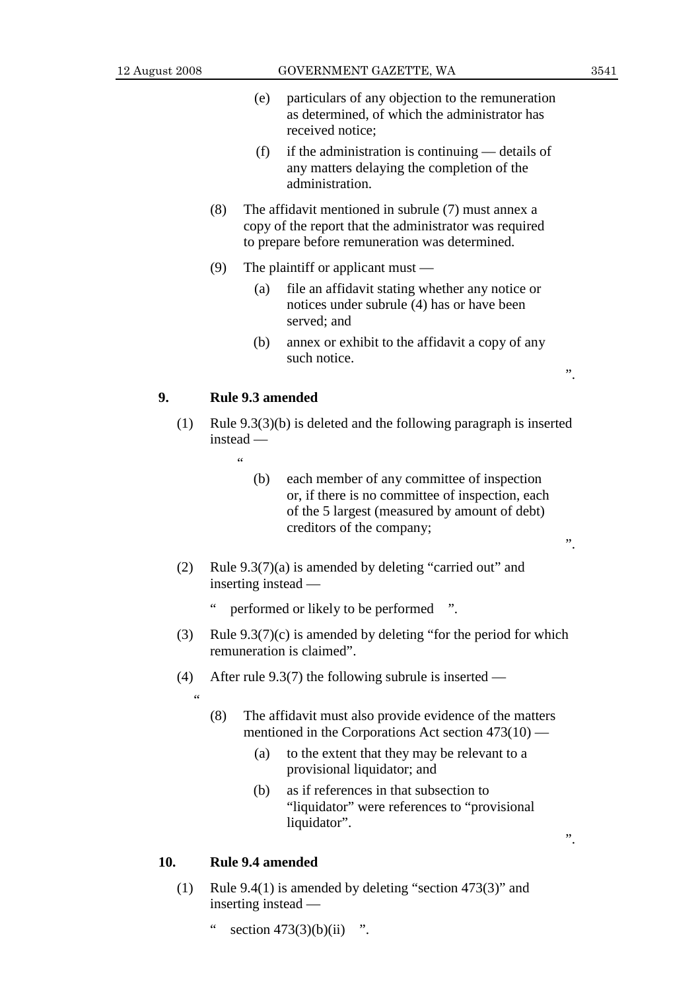".

 $\ddot{\hspace{1mm} \cdot}$ 

- (e) particulars of any objection to the remuneration as determined, of which the administrator has received notice;
- (f) if the administration is continuing details of any matters delaying the completion of the administration.
- (8) The affidavit mentioned in subrule (7) must annex a copy of the report that the administrator was required to prepare before remuneration was determined.
- (9) The plaintiff or applicant must
	- (a) file an affidavit stating whether any notice or notices under subrule (4) has or have been served: and
	- (b) annex or exhibit to the affidavit a copy of any such notice.

# **9. Rule 9.3 amended**

- (1) Rule 9.3(3)(b) is deleted and the following paragraph is inserted instead —
	- $\epsilon$
- (b) each member of any committee of inspection or, if there is no committee of inspection, each of the 5 largest (measured by amount of debt) creditors of the company;
- (2) Rule 9.3(7)(a) is amended by deleting "carried out" and inserting instead
	- performed or likely to be performed ".
- (3) Rule  $9.3(7)(c)$  is amended by deleting "for the period for which remuneration is claimed".
- (4) After rule 9.3(7) the following subrule is inserted
	- .<br>44
- (8) The affidavit must also provide evidence of the matters mentioned in the Corporations Act section 473(10) —
	- (a) to the extent that they may be relevant to a provisional liquidator; and
	- (b) as if references in that subsection to "liquidator" were references to "provisional liquidator".

".

# **10. Rule 9.4 amended**

- (1) Rule 9.4(1) is amended by deleting "section 473(3)" and inserting instead —
	- " section  $473(3)(b)(ii)$  ".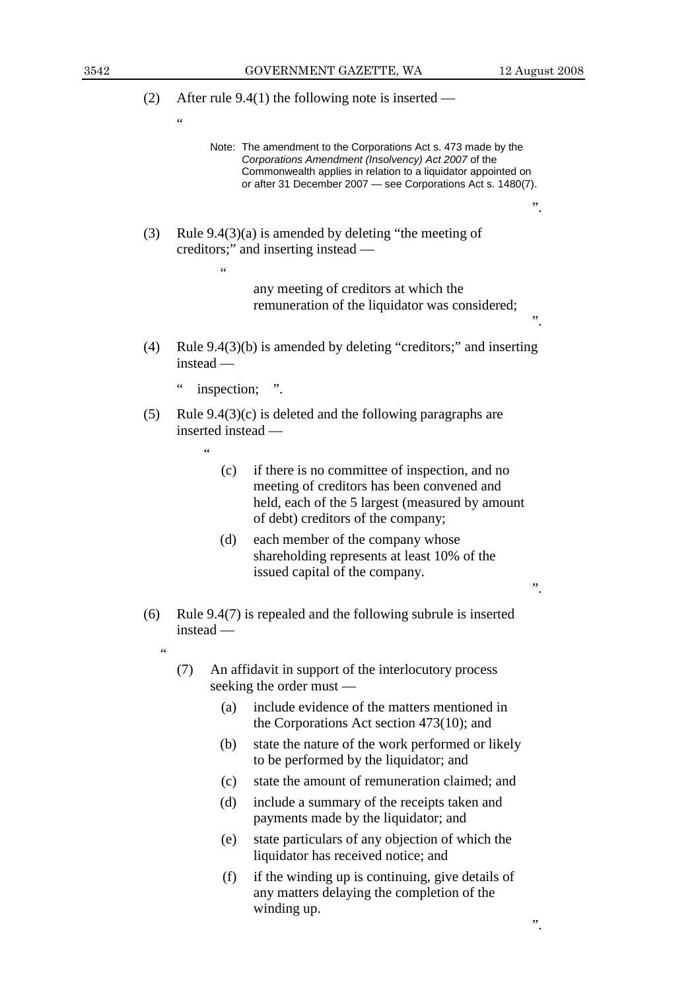"

 $\ddot{\hspace{1mm}1}$ 

".

".

(2) After rule 9.4(1) the following note is inserted —

 Note: The amendment to the Corporations Act s. 473 made by the *Corporations Amendment (Insolvency) Act 2007* of the Commonwealth applies in relation to a liquidator appointed on or after 31 December 2007 — see Corporations Act s. 1480(7).

 (3) Rule 9.4(3)(a) is amended by deleting "the meeting of creditors;" and inserting instead — "

> any meeting of creditors at which the remuneration of the liquidator was considered;

- (4) Rule 9.4(3)(b) is amended by deleting "creditors;" and inserting instead —
	- " inspection; ".
- (5) Rule 9.4(3)(c) is deleted and the following paragraphs are inserted instead —
	-

"

"

- (c) if there is no committee of inspection, and no meeting of creditors has been convened and held, each of the 5 largest (measured by amount of debt) creditors of the company;
- (d) each member of the company whose shareholding represents at least 10% of the issued capital of the company.
- (6) Rule 9.4(7) is repealed and the following subrule is inserted instead —
	- (7) An affidavit in support of the interlocutory process seeking the order must —
		- (a) include evidence of the matters mentioned in the Corporations Act section 473(10); and
		- (b) state the nature of the work performed or likely to be performed by the liquidator; and
		- (c) state the amount of remuneration claimed; and
		- (d) include a summary of the receipts taken and payments made by the liquidator; and
		- (e) state particulars of any objection of which the liquidator has received notice; and
		- (f) if the winding up is continuing, give details of any matters delaying the completion of the winding up.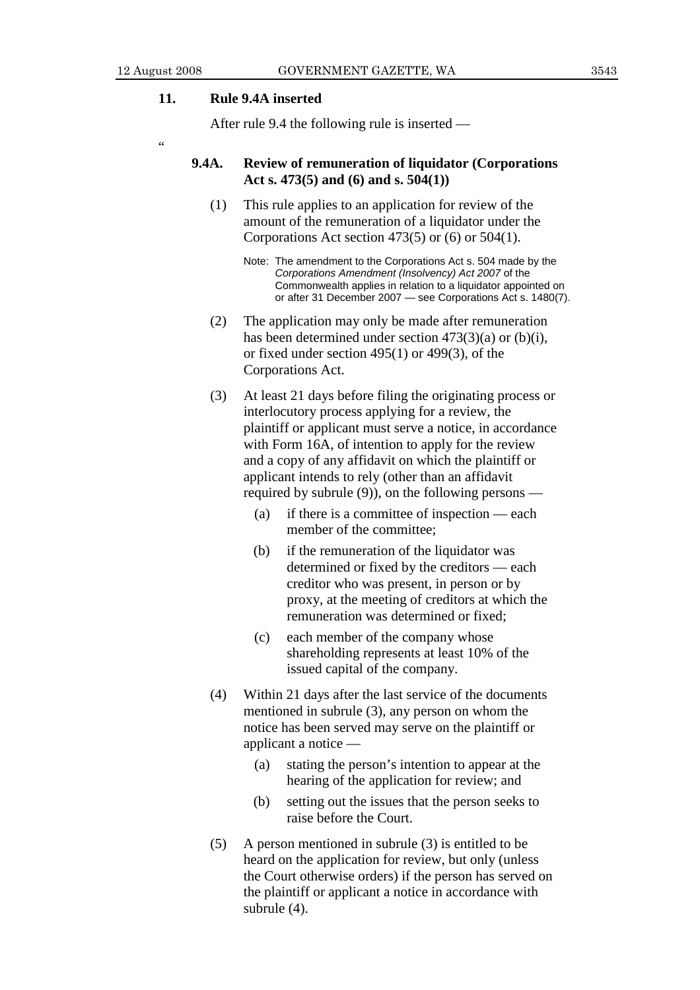#### **11. Rule 9.4A inserted**

After rule 9.4 the following rule is inserted —

 $\epsilon$ 

## **9.4A. Review of remuneration of liquidator (Corporations Act s. 473(5) and (6) and s. 504(1))**

 (1) This rule applies to an application for review of the amount of the remuneration of a liquidator under the Corporations Act section 473(5) or (6) or 504(1).

- (2) The application may only be made after remuneration has been determined under section 473(3)(a) or (b)(i), or fixed under section 495(1) or 499(3), of the Corporations Act.
- (3) At least 21 days before filing the originating process or interlocutory process applying for a review, the plaintiff or applicant must serve a notice, in accordance with Form 16A, of intention to apply for the review and a copy of any affidavit on which the plaintiff or applicant intends to rely (other than an affidavit required by subrule  $(9)$ , on the following persons —
	- (a) if there is a committee of inspection each member of the committee;
	- (b) if the remuneration of the liquidator was determined or fixed by the creditors — each creditor who was present, in person or by proxy, at the meeting of creditors at which the remuneration was determined or fixed;
	- (c) each member of the company whose shareholding represents at least 10% of the issued capital of the company.
- (4) Within 21 days after the last service of the documents mentioned in subrule (3), any person on whom the notice has been served may serve on the plaintiff or applicant a notice —
	- (a) stating the person's intention to appear at the hearing of the application for review; and
	- (b) setting out the issues that the person seeks to raise before the Court.
- (5) A person mentioned in subrule (3) is entitled to be heard on the application for review, but only (unless the Court otherwise orders) if the person has served on the plaintiff or applicant a notice in accordance with subrule (4).

Note: The amendment to the Corporations Act s. 504 made by the *Corporations Amendment (Insolvency) Act 2007* of the Commonwealth applies in relation to a liquidator appointed on or after 31 December 2007 — see Corporations Act s. 1480(7).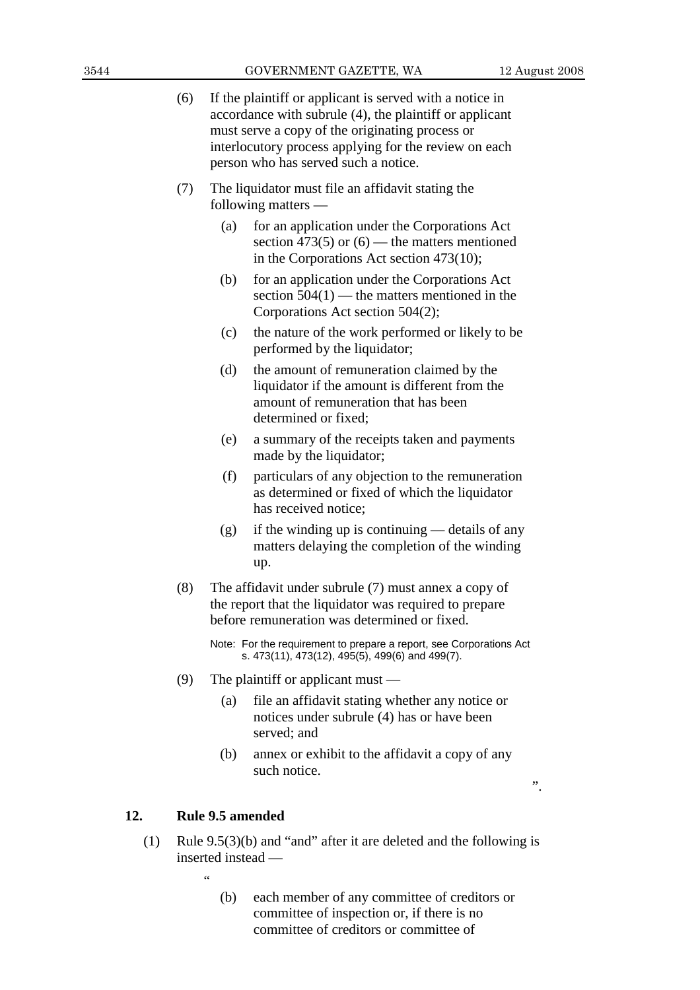|  | (6)                                             | If the plaintiff or applicant is served with a notice in |
|--|-------------------------------------------------|----------------------------------------------------------|
|  |                                                 | accordance with subrule (4), the plaintiff or applicant  |
|  | must serve a copy of the originating process or |                                                          |
|  |                                                 | interlocutory process applying for the review on each    |

 (7) The liquidator must file an affidavit stating the following matters —

person who has served such a notice.

- (a) for an application under the Corporations Act section 473(5) or  $(6)$  — the matters mentioned in the Corporations Act section 473(10);
- (b) for an application under the Corporations Act section  $504(1)$  — the matters mentioned in the Corporations Act section 504(2);
- (c) the nature of the work performed or likely to be performed by the liquidator;
- (d) the amount of remuneration claimed by the liquidator if the amount is different from the amount of remuneration that has been determined or fixed;
- (e) a summary of the receipts taken and payments made by the liquidator;
- (f) particulars of any objection to the remuneration as determined or fixed of which the liquidator has received notice;
- $(g)$  if the winding up is continuing details of any matters delaying the completion of the winding up.
- (8) The affidavit under subrule (7) must annex a copy of the report that the liquidator was required to prepare before remuneration was determined or fixed.

 Note: For the requirement to prepare a report, see Corporations Act s. 473(11), 473(12), 495(5), 499(6) and 499(7).

- (9) The plaintiff or applicant must
	- (a) file an affidavit stating whether any notice or notices under subrule (4) has or have been served; and
	- (b) annex or exhibit to the affidavit a copy of any such notice.

# ".

## **12. Rule 9.5 amended**

 (1) Rule 9.5(3)(b) and "and" after it are deleted and the following is inserted instead —

"

 (b) each member of any committee of creditors or committee of inspection or, if there is no committee of creditors or committee of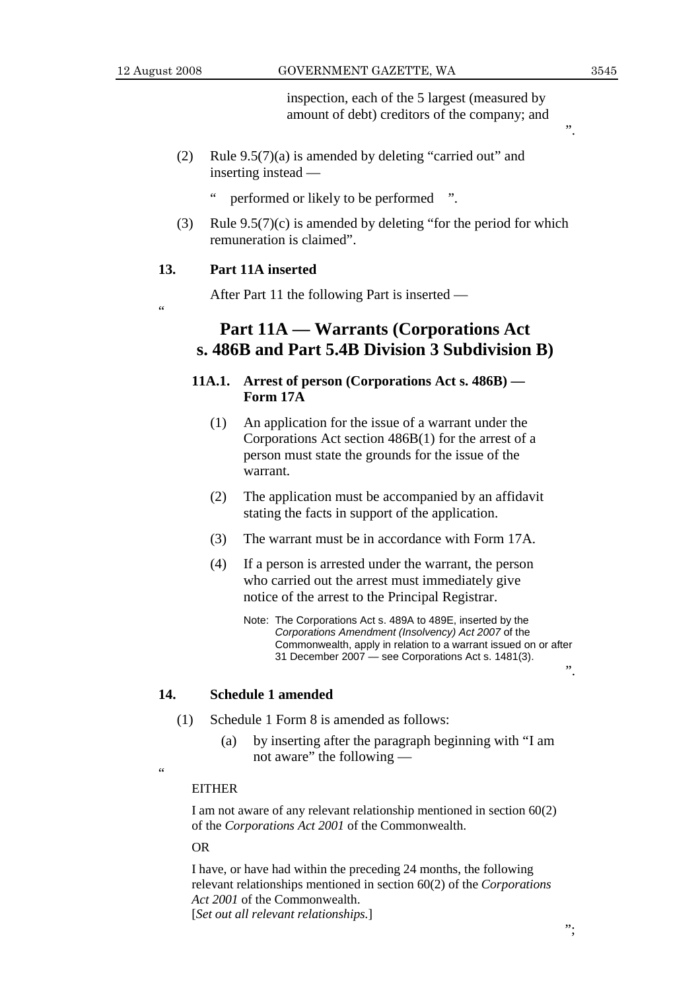"

inspection, each of the 5 largest (measured by amount of debt) creditors of the company; and

- (2) Rule 9.5(7)(a) is amended by deleting "carried out" and inserting instead
	- performed or likely to be performed ".
- (3) Rule 9.5(7)(c) is amended by deleting "for the period for which remuneration is claimed".

## **13. Part 11A inserted**

After Part 11 the following Part is inserted —

# **Part 11A — Warrants (Corporations Act s. 486B and Part 5.4B Division 3 Subdivision B)**

# **11A.1. Arrest of person (Corporations Act s. 486B) — Form 17A**

- (1) An application for the issue of a warrant under the Corporations Act section 486B(1) for the arrest of a person must state the grounds for the issue of the warrant.
- (2) The application must be accompanied by an affidavit stating the facts in support of the application.
- (3) The warrant must be in accordance with Form 17A.
- (4) If a person is arrested under the warrant, the person who carried out the arrest must immediately give notice of the arrest to the Principal Registrar.
	- Note: The Corporations Act s. 489A to 489E, inserted by the *Corporations Amendment (Insolvency) Act 2007* of the Commonwealth, apply in relation to a warrant issued on or after 31 December 2007 — see Corporations Act s. 1481(3).

#### **14. Schedule 1 amended**

- (1) Schedule 1 Form 8 is amended as follows:
	- (a) by inserting after the paragraph beginning with "I am not aware" the following —
- "

#### EITHER

I am not aware of any relevant relationship mentioned in section 60(2) of the *Corporations Act 2001* of the Commonwealth.

OR

I have, or have had within the preceding 24 months, the following relevant relationships mentioned in section 60(2) of the *Corporations Act 2001* of the Commonwealth. [*Set out all relevant relationships.*]

 $\ddot{\hspace{1mm} \cdot}$ 

 $\ddot{\hspace{1mm} \cdot}$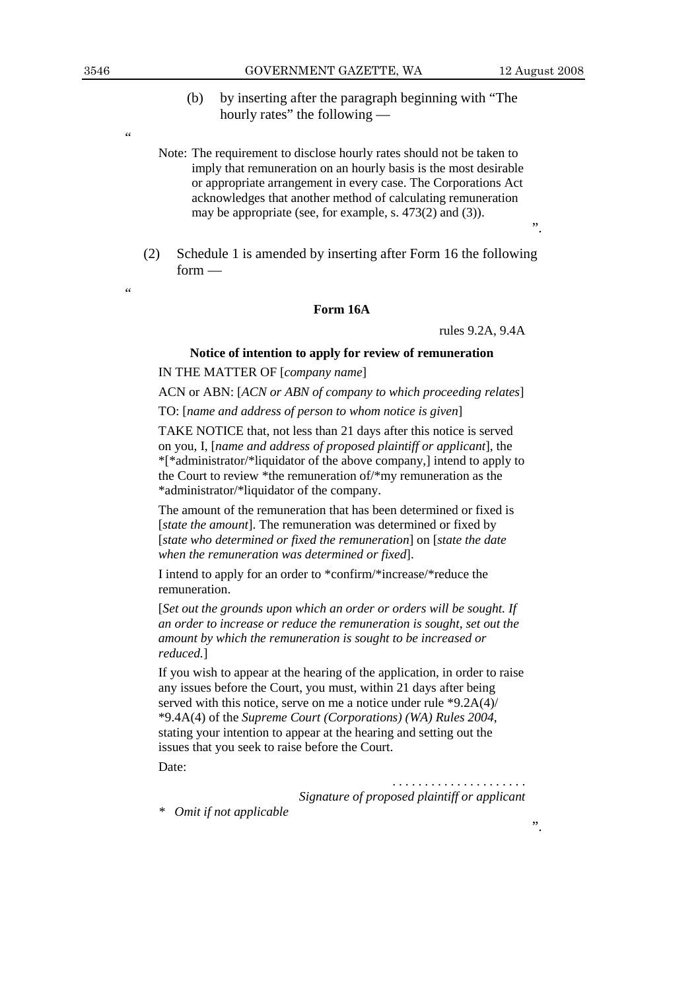".

".

- (b) by inserting after the paragraph beginning with "The hourly rates" the following —
- Note: The requirement to disclose hourly rates should not be taken to imply that remuneration on an hourly basis is the most desirable or appropriate arrangement in every case. The Corporations Act acknowledges that another method of calculating remuneration may be appropriate (see, for example, s. 473(2) and (3)).
- (2) Schedule 1 is amended by inserting after Form 16 the following form —

#### "

.,

#### **Form 16A**

rules 9.2A, 9.4A

#### **Notice of intention to apply for review of remuneration**

IN THE MATTER OF [*company name*]

ACN or ABN: [*ACN or ABN of company to which proceeding relates*]

TO: [*name and address of person to whom notice is given*]

TAKE NOTICE that, not less than 21 days after this notice is served on you, I, [*name and address of proposed plaintiff or applicant*], the \*[\*administrator/\*liquidator of the above company,] intend to apply to the Court to review \*the remuneration of/\*my remuneration as the \*administrator/\*liquidator of the company.

The amount of the remuneration that has been determined or fixed is [*state the amount*]. The remuneration was determined or fixed by [*state who determined or fixed the remuneration*] on [*state the date when the remuneration was determined or fixed*].

I intend to apply for an order to \*confirm/\*increase/\*reduce the remuneration.

[*Set out the grounds upon which an order or orders will be sought. If an order to increase or reduce the remuneration is sought, set out the amount by which the remuneration is sought to be increased or reduced.*]

If you wish to appear at the hearing of the application, in order to raise any issues before the Court, you must, within 21 days after being served with this notice, serve on me a notice under rule \*9.2A(4)/ \*9.4A(4) of the *Supreme Court (Corporations) (WA) Rules 2004*, stating your intention to appear at the hearing and setting out the issues that you seek to raise before the Court.

Date:

. . . . . . . . . . . . . . . . . . . . . *Signature of proposed plaintiff or applicant* 

*\* Omit if not applicable*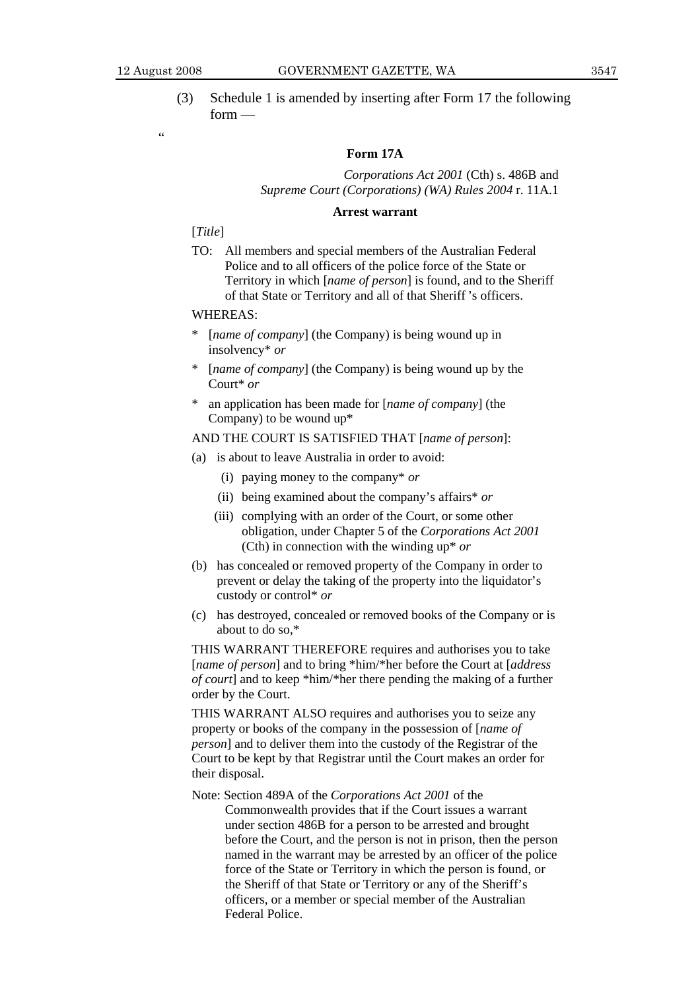.<br>.

 (3) Schedule 1 is amended by inserting after Form 17 the following form —

#### **Form 17A**

#### *Corporations Act 2001* (Cth) s. 486B and *Supreme Court (Corporations) (WA) Rules 2004* r. 11A.1

#### **Arrest warrant**

#### [*Title*]

TO: All members and special members of the Australian Federal Police and to all officers of the police force of the State or Territory in which [*name of person*] is found, and to the Sheriff of that State or Territory and all of that Sheriff 's officers.

#### WHEREAS:

- \* [*name of company*] (the Company) is being wound up in insolvency\* *or*
- [*name of company*] (the Company) is being wound up by the Court\* *or*
- \* an application has been made for [*name of company*] (the Company) to be wound up\*

#### AND THE COURT IS SATISFIED THAT [*name of person*]:

- (a) is about to leave Australia in order to avoid:
	- (i) paying money to the company\* *or*
	- (ii) being examined about the company's affairs\* *or*
	- (iii) complying with an order of the Court, or some other obligation, under Chapter 5 of the *Corporations Act 2001*  (Cth) in connection with the winding up\* *or*
- (b) has concealed or removed property of the Company in order to prevent or delay the taking of the property into the liquidator's custody or control\* *or*
- (c) has destroyed, concealed or removed books of the Company or is about to do so,\*

THIS WARRANT THEREFORE requires and authorises you to take [*name of person*] and to bring \*him/\*her before the Court at [*address of court*] and to keep \*him/\*her there pending the making of a further order by the Court.

THIS WARRANT ALSO requires and authorises you to seize any property or books of the company in the possession of [*name of person*] and to deliver them into the custody of the Registrar of the Court to be kept by that Registrar until the Court makes an order for their disposal.

Note: Section 489A of the *Corporations Act 2001* of the

Commonwealth provides that if the Court issues a warrant under section 486B for a person to be arrested and brought before the Court, and the person is not in prison, then the person named in the warrant may be arrested by an officer of the police force of the State or Territory in which the person is found, or the Sheriff of that State or Territory or any of the Sheriff's officers, or a member or special member of the Australian Federal Police.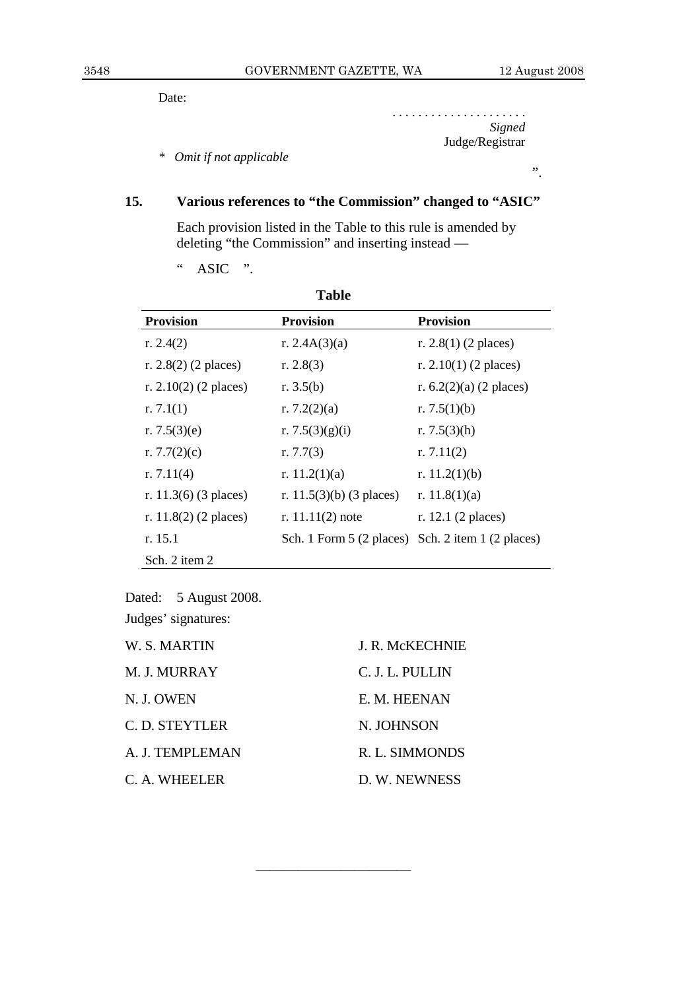".

Date:

. . . . . . . . . . . . . . . . . . . . . *Signed*  Judge/Registrar

*\* Omit if not applicable* 

# **15. Various references to "the Commission" changed to "ASIC"**

 Each provision listed in the Table to this rule is amended by deleting "the Commission" and inserting instead —

" ASIC ".

|                          | 1 avit                     |                           |
|--------------------------|----------------------------|---------------------------|
| <b>Provision</b>         | <b>Provision</b>           | <b>Provision</b>          |
| r. $2.4(2)$              | r. $2.4A(3)(a)$            | r. $2.8(1)$ (2 places)    |
| r. $2.8(2)$ (2 places)   | r. $2.8(3)$                | r. $2.10(1)$ (2 places)   |
| r. $2.10(2)$ (2 places)  | r. $3.5(b)$                | r. $6.2(2)(a)$ (2 places) |
| r. $7.1(1)$              | r. $7.2(2)(a)$             | r. $7.5(1)(b)$            |
| r. $7.5(3)(e)$           | r. 7.5 $(3)(g)(i)$         | r. $7.5(3)$ (h)           |
| r. $7.7(2)(c)$           | r. $7.7(3)$                | r. $7.11(2)$              |
| r. $7.11(4)$             | r. $11.2(1)(a)$            | r. $11.2(1)(b)$           |
| r. 11.3 $(6)$ (3 places) | r. $11.5(3)(b)$ (3 places) | r. $11.8(1)(a)$           |
| r. $11.8(2)$ (2 places)  | r. $11.11(2)$ note         | r. 12.1 (2 places)        |
| r. 15.1                  | Sch. 1 Form $5(2$ places)  | Sch. 2 item 1 (2 places)  |
| Sch. 2 item 2            |                            |                           |

**Table** 

Dated: 5 August 2008. Judges' signatures:

| W. S. MARTIN    | J. R. McKECHNIE |
|-----------------|-----------------|
| M. J. MURRAY    | C. J. L. PULLIN |
| N. J. OWEN      | E. M. HEENAN    |
| C. D. STEYTLER  | N. JOHNSON      |
| A. J. TEMPLEMAN | R. L. SIMMONDS  |
| C. A. WHEELER   | D. W. NEWNESS   |

———————————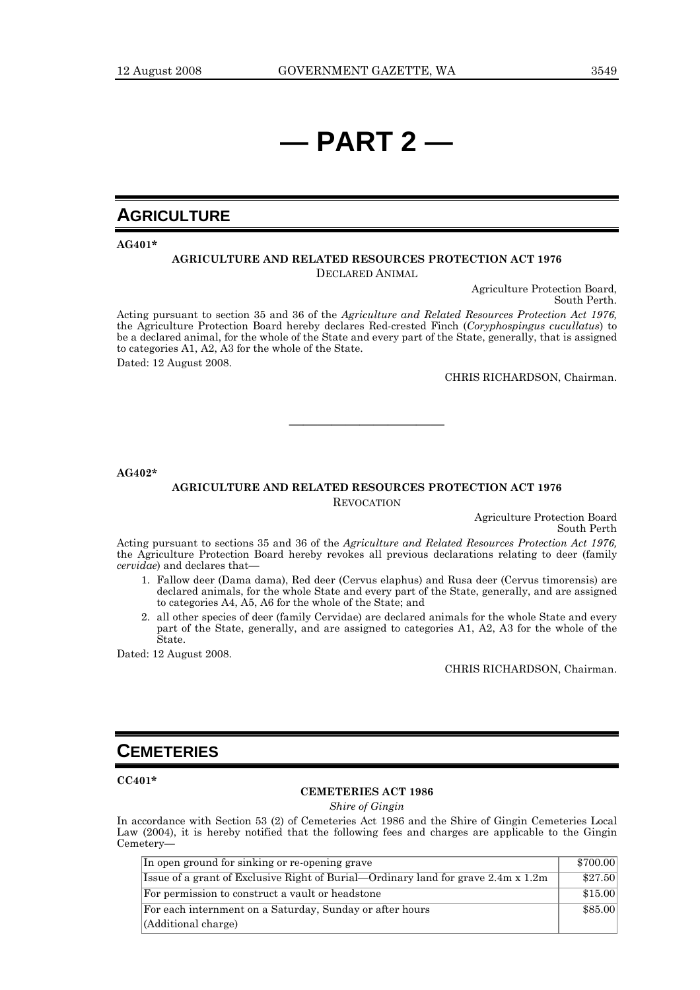# **— PART 2 —**

# **AGRICULTURE**

**AG401\*** 

#### **AGRICULTURE AND RELATED RESOURCES PROTECTION ACT 1976** DECLARED ANIMAL

Agriculture Protection Board, South Perth.

Acting pursuant to section 35 and 36 of the *Agriculture and Related Resources Protection Act 1976,* the Agriculture Protection Board hereby declares Red-crested Finch (*Coryphospingus cucullatus*) to be a declared animal, for the whole of the State and every part of the State, generally, that is assigned to categories A1, A2, A3 for the whole of the State.

Dated: 12 August 2008.

CHRIS RICHARDSON, Chairman.

**AG402\*** 

#### **AGRICULTURE AND RELATED RESOURCES PROTECTION ACT 1976** REVOCATION

———————————

Agriculture Protection Board South Perth

Acting pursuant to sections 35 and 36 of the *Agriculture and Related Resources Protection Act 1976,* the Agriculture Protection Board hereby revokes all previous declarations relating to deer (family *cervidae*) and declares that—

- 1. Fallow deer (Dama dama), Red deer (Cervus elaphus) and Rusa deer (Cervus timorensis) are declared animals, for the whole State and every part of the State, generally, and are assigned to categories A4, A5, A6 for the whole of the State; and
- 2. all other species of deer (family Cervidae) are declared animals for the whole State and every part of the State, generally, and are assigned to categories A1, A2, A3 for the whole of the State.

Dated: 12 August 2008.

CHRIS RICHARDSON, Chairman.

# **CEMETERIES**

**CC401\*** 

#### **CEMETERIES ACT 1986**

*Shire of Gingin* 

In accordance with Section 53 (2) of Cemeteries Act 1986 and the Shire of Gingin Cemeteries Local Law (2004), it is hereby notified that the following fees and charges are applicable to the Gingin Cemetery—

| In open ground for sinking or re-opening grave                                    | \$700.00 |
|-----------------------------------------------------------------------------------|----------|
| Issue of a grant of Exclusive Right of Burial—Ordinary land for grave 2.4m x 1.2m | \$27.50  |
| For permission to construct a vault or headstone                                  | \$15.00  |
| For each internment on a Saturday, Sunday or after hours                          | \$85.00  |
| (Additional charge)                                                               |          |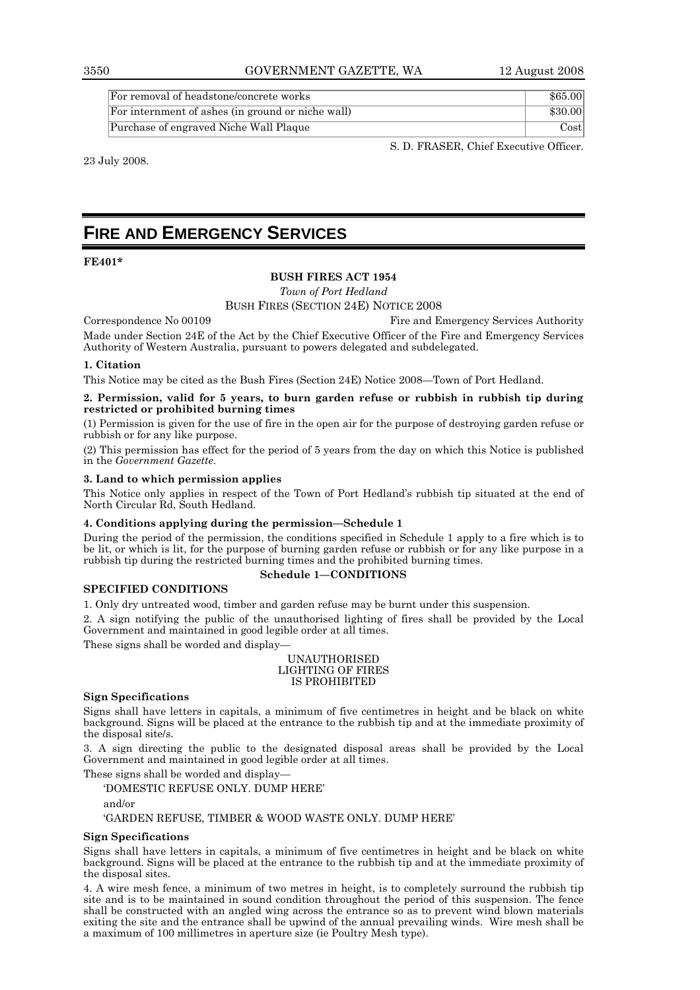3550 GOVERNMENT GAZETTE, WA 12 August 2008

| For removal of headstone/concrete works           | \$65.00 |
|---------------------------------------------------|---------|
| For internment of ashes (in ground or niche wall) | \$30.00 |
| Purchase of engraved Niche Wall Plaque            | Costl   |

23 July 2008.

S. D. FRASER, Chief Executive Officer.

# **FIRE AND EMERGENCY SERVICES**

#### **FE401\***

#### **BUSH FIRES ACT 1954**

*Town of Port Hedland* 

BUSH FIRES (SECTION 24E) NOTICE 2008

Correspondence No 00109 Fire and Emergency Services Authority

Made under Section 24E of the Act by the Chief Executive Officer of the Fire and Emergency Services Authority of Western Australia, pursuant to powers delegated and subdelegated.

#### **1. Citation**

This Notice may be cited as the Bush Fires (Section 24E) Notice 2008—Town of Port Hedland.

#### **2. Permission, valid for 5 years, to burn garden refuse or rubbish in rubbish tip during restricted or prohibited burning times**

(1) Permission is given for the use of fire in the open air for the purpose of destroying garden refuse or rubbish or for any like purpose.

(2) This permission has effect for the period of 5 years from the day on which this Notice is published in the *Government Gazette*.

#### **3. Land to which permission applies**

This Notice only applies in respect of the Town of Port Hedland's rubbish tip situated at the end of North Circular Rd, South Hedland.

#### **4. Conditions applying during the permission—Schedule 1**

During the period of the permission, the conditions specified in Schedule 1 apply to a fire which is to be lit, or which is lit, for the purpose of burning garden refuse or rubbish or for any like purpose in a rubbish tip during the restricted burning times and the prohibited burning times.

#### **Schedule 1—CONDITIONS**

#### **SPECIFIED CONDITIONS**

1. Only dry untreated wood, timber and garden refuse may be burnt under this suspension.

2. A sign notifying the public of the unauthorised lighting of fires shall be provided by the Local Government and maintained in good legible order at all times.

These signs shall be worded and display—

#### UNAUTHORISED LIGHTING OF FIRES IS PROHIBITED

#### **Sign Specifications**

Signs shall have letters in capitals, a minimum of five centimetres in height and be black on white background. Signs will be placed at the entrance to the rubbish tip and at the immediate proximity of the disposal site/s.

3. A sign directing the public to the designated disposal areas shall be provided by the Local Government and maintained in good legible order at all times.

These signs shall be worded and display—

'DOMESTIC REFUSE ONLY. DUMP HERE'

and/or

'GARDEN REFUSE, TIMBER & WOOD WASTE ONLY. DUMP HERE'

#### **Sign Specifications**

Signs shall have letters in capitals, a minimum of five centimetres in height and be black on white background. Signs will be placed at the entrance to the rubbish tip and at the immediate proximity of the disposal sites.

4. A wire mesh fence, a minimum of two metres in height, is to completely surround the rubbish tip site and is to be maintained in sound condition throughout the period of this suspension. The fence shall be constructed with an angled wing across the entrance so as to prevent wind blown materials exiting the site and the entrance shall be upwind of the annual prevailing winds. Wire mesh shall be a maximum of 100 millimetres in aperture size (ie Poultry Mesh type).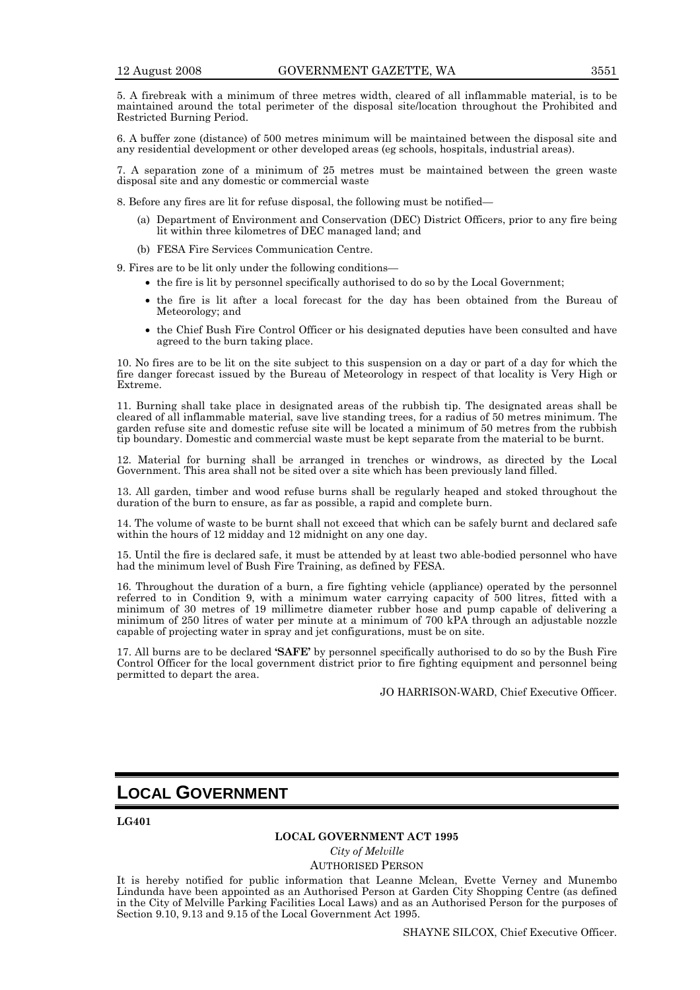5. A firebreak with a minimum of three metres width, cleared of all inflammable material, is to be maintained around the total perimeter of the disposal site/location throughout the Prohibited and Restricted Burning Period.

6. A buffer zone (distance) of 500 metres minimum will be maintained between the disposal site and any residential development or other developed areas (eg schools, hospitals, industrial areas).

7. A separation zone of a minimum of 25 metres must be maintained between the green waste disposal site and any domestic or commercial waste

8. Before any fires are lit for refuse disposal, the following must be notified—

- (a) Department of Environment and Conservation (DEC) District Officers, prior to any fire being lit within three kilometres of DEC managed land; and
- (b) FESA Fire Services Communication Centre.

9. Fires are to be lit only under the following conditions—

- the fire is lit by personnel specifically authorised to do so by the Local Government;
	- the fire is lit after a local forecast for the day has been obtained from the Bureau of Meteorology; and
- the Chief Bush Fire Control Officer or his designated deputies have been consulted and have agreed to the burn taking place.

10. No fires are to be lit on the site subject to this suspension on a day or part of a day for which the fire danger forecast issued by the Bureau of Meteorology in respect of that locality is Very High or Extreme.

11. Burning shall take place in designated areas of the rubbish tip. The designated areas shall be cleared of all inflammable material, save live standing trees, for a radius of 50 metres minimum. The garden refuse site and domestic refuse site will be located a minimum of 50 metres from the rubbish tip boundary. Domestic and commercial waste must be kept separate from the material to be burnt.

12. Material for burning shall be arranged in trenches or windrows, as directed by the Local Government. This area shall not be sited over a site which has been previously land filled.

13. All garden, timber and wood refuse burns shall be regularly heaped and stoked throughout the duration of the burn to ensure, as far as possible, a rapid and complete burn.

14. The volume of waste to be burnt shall not exceed that which can be safely burnt and declared safe within the hours of 12 midday and 12 midnight on any one day.

15. Until the fire is declared safe, it must be attended by at least two able-bodied personnel who have had the minimum level of Bush Fire Training, as defined by FESA.

16. Throughout the duration of a burn, a fire fighting vehicle (appliance) operated by the personnel referred to in Condition 9, with a minimum water carrying capacity of 500 litres, fitted with a minimum of 30 metres of 19 millimetre diameter rubber hose and pump capable of delivering a minimum of 250 litres of water per minute at a minimum of 700 kPA through an adjustable nozzle capable of projecting water in spray and jet configurations, must be on site.

17. All burns are to be declared **'SAFE'** by personnel specifically authorised to do so by the Bush Fire Control Officer for the local government district prior to fire fighting equipment and personnel being permitted to depart the area.

JO HARRISON-WARD, Chief Executive Officer.

# **LOCAL GOVERNMENT**

**LG401** 

#### **LOCAL GOVERNMENT ACT 1995**

*City of Melville* 

AUTHORISED PERSON

It is hereby notified for public information that Leanne Mclean, Evette Verney and Munembo Lindunda have been appointed as an Authorised Person at Garden City Shopping Centre (as defined in the City of Melville Parking Facilities Local Laws) and as an Authorised Person for the purposes of Section 9.10, 9.13 and 9.15 of the Local Government Act 1995.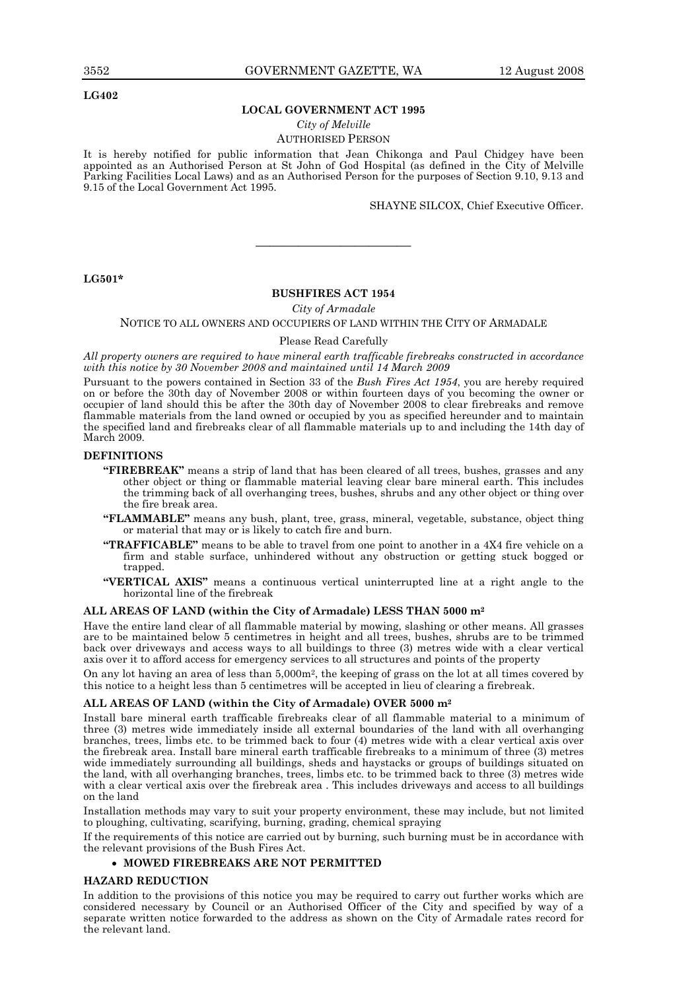**LG402** 

#### **LOCAL GOVERNMENT ACT 1995**

#### *City of Melville*

#### AUTHORISED PERSON

It is hereby notified for public information that Jean Chikonga and Paul Chidgey have been appointed as an Authorised Person at St John of God Hospital (as defined in the City of Melville Parking Facilities Local Laws) and as an Authorised Person for the purposes of Section 9.10, 9.13 and 9.15 of the Local Government Act 1995.

SHAYNE SILCOX, Chief Executive Officer.

#### **LG501\***

#### **BUSHFIRES ACT 1954**

———————————

*City of Armadale* 

#### NOTICE TO ALL OWNERS AND OCCUPIERS OF LAND WITHIN THE CITY OF ARMADALE

#### Please Read Carefully

*All property owners are required to have mineral earth trafficable firebreaks constructed in accordance with this notice by 30 November 2008 and maintained until 14 March 2009* 

Pursuant to the powers contained in Section 33 of the *Bush Fires Act 1954*, you are hereby required on or before the 30th day of November 2008 or within fourteen days of you becoming the owner or occupier of land should this be after the 30th day of November 2008 to clear firebreaks and remove flammable materials from the land owned or occupied by you as specified hereunder and to maintain the specified land and firebreaks clear of all flammable materials up to and including the 14th day of March 2009.

#### **DEFINITIONS**

- **"FIREBREAK"** means a strip of land that has been cleared of all trees, bushes, grasses and any other object or thing or flammable material leaving clear bare mineral earth. This includes the trimming back of all overhanging trees, bushes, shrubs and any other object or thing over the fire break area.
- **"FLAMMABLE"** means any bush, plant, tree, grass, mineral, vegetable, substance, object thing or material that may or is likely to catch fire and burn.
- **"TRAFFICABLE"** means to be able to travel from one point to another in a 4X4 fire vehicle on a firm and stable surface, unhindered without any obstruction or getting stuck bogged or trapped.
- **"VERTICAL AXIS"** means a continuous vertical uninterrupted line at a right angle to the horizontal line of the firebreak

#### **ALL AREAS OF LAND (within the City of Armadale) LESS THAN 5000 m2**

Have the entire land clear of all flammable material by mowing, slashing or other means. All grasses are to be maintained below 5 centimetres in height and all trees, bushes, shrubs are to be trimmed back over driveways and access ways to all buildings to three (3) metres wide with a clear vertical axis over it to afford access for emergency services to all structures and points of the property

On any lot having an area of less than 5,000m2, the keeping of grass on the lot at all times covered by this notice to a height less than 5 centimetres will be accepted in lieu of clearing a firebreak.

#### **ALL AREAS OF LAND (within the City of Armadale) OVER 5000 m2**

Install bare mineral earth trafficable firebreaks clear of all flammable material to a minimum of three (3) metres wide immediately inside all external boundaries of the land with all overhanging branches, trees, limbs etc. to be trimmed back to four (4) metres wide with a clear vertical axis over the firebreak area. Install bare mineral earth trafficable firebreaks to a minimum of three (3) metres wide immediately surrounding all buildings, sheds and haystacks or groups of buildings situated on the land, with all overhanging branches, trees, limbs etc. to be trimmed back to three (3) metres wide with a clear vertical axis over the firebreak area . This includes driveways and access to all buildings on the land

Installation methods may vary to suit your property environment, these may include, but not limited to ploughing, cultivating, scarifying, burning, grading, chemical spraying

If the requirements of this notice are carried out by burning, such burning must be in accordance with the relevant provisions of the Bush Fires Act.

#### • **MOWED FIREBREAKS ARE NOT PERMITTED**

#### **HAZARD REDUCTION**

In addition to the provisions of this notice you may be required to carry out further works which are considered necessary by Council or an Authorised Officer of the City and specified by way of a separate written notice forwarded to the address as shown on the City of Armadale rates record for the relevant land.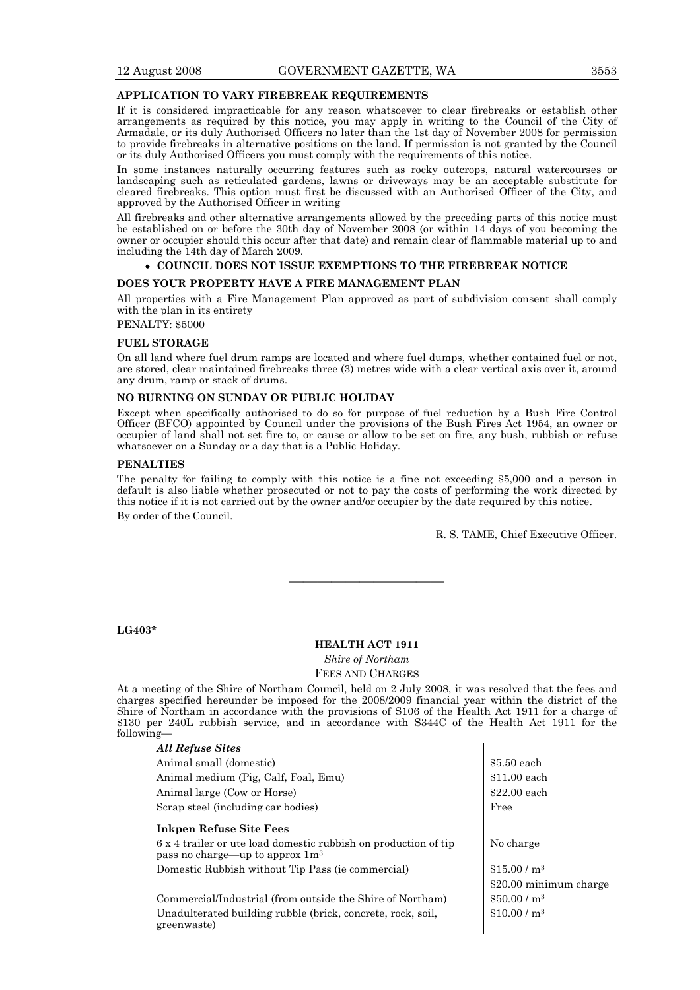#### **APPLICATION TO VARY FIREBREAK REQUIREMENTS**

If it is considered impracticable for any reason whatsoever to clear firebreaks or establish other arrangements as required by this notice, you may apply in writing to the Council of the City of Armadale, or its duly Authorised Officers no later than the 1st day of November 2008 for permission to provide firebreaks in alternative positions on the land. If permission is not granted by the Council or its duly Authorised Officers you must comply with the requirements of this notice.

In some instances naturally occurring features such as rocky outcrops, natural watercourses or landscaping such as reticulated gardens, lawns or driveways may be an acceptable substitute for cleared firebreaks. This option must first be discussed with an Authorised Officer of the City, and approved by the Authorised Officer in writing

All firebreaks and other alternative arrangements allowed by the preceding parts of this notice must be established on or before the 30th day of November 2008 (or within 14 days of you becoming the owner or occupier should this occur after that date) and remain clear of flammable material up to and including the 14th day of March 2009.

#### • **COUNCIL DOES NOT ISSUE EXEMPTIONS TO THE FIREBREAK NOTICE**

#### **DOES YOUR PROPERTY HAVE A FIRE MANAGEMENT PLAN**

All properties with a Fire Management Plan approved as part of subdivision consent shall comply with the plan in its entirety

PENALTY: \$5000

#### **FUEL STORAGE**

On all land where fuel drum ramps are located and where fuel dumps, whether contained fuel or not, are stored, clear maintained firebreaks three (3) metres wide with a clear vertical axis over it, around any drum, ramp or stack of drums.

#### **NO BURNING ON SUNDAY OR PUBLIC HOLIDAY**

Except when specifically authorised to do so for purpose of fuel reduction by a Bush Fire Control Officer (BFCO) appointed by Council under the provisions of the Bush Fires Act 1954, an owner or occupier of land shall not set fire to, or cause or allow to be set on fire, any bush, rubbish or refuse whatsoever on a Sunday or a day that is a Public Holiday.

#### **PENALTIES**

The penalty for failing to comply with this notice is a fine not exceeding \$5,000 and a person in default is also liable whether prosecuted or not to pay the costs of performing the work directed by this notice if it is not carried out by the owner and/or occupier by the date required by this notice. By order of the Council.

R. S. TAME, Chief Executive Officer.

#### **LG403\***

#### **HEALTH ACT 1911**

———————————

*Shire of Northam* 

#### FEES AND CHARGES

At a meeting of the Shire of Northam Council, held on 2 July 2008, it was resolved that the fees and charges specified hereunder be imposed for the 2008/2009 financial year within the district of the Shire of Northam in accordance with the provisions of S106 of the Health Act 1911 for a charge of \$130 per 240L rubbish service, and in accordance with S344C of the Health Act 1911 for the following—

| <b>All Refuse Sites</b>                                                                                        |                          |
|----------------------------------------------------------------------------------------------------------------|--------------------------|
| Animal small (domestic)                                                                                        | \$5.50 each              |
| Animal medium (Pig, Calf, Foal, Emu)                                                                           | $$11.00$ each            |
| Animal large (Cow or Horse)                                                                                    | $$22.00$ each            |
| Scrap steel (including car bodies)                                                                             | Free                     |
| <b>Inkpen Refuse Site Fees</b>                                                                                 |                          |
| 6 x 4 trailer or ute load domestic rubbish on production of tip<br>pass no charge—up to approx 1m <sup>3</sup> | No charge                |
| Domestic Rubbish without Tip Pass (ie commercial)                                                              | \$15.00/m <sup>3</sup>   |
|                                                                                                                | \$20.00 minimum charge   |
| Commercial/Industrial (from outside the Shire of Northam)                                                      | $$50.00/m^3$             |
| Unadulterated building rubble (brick, concrete, rock, soil,<br>greenwaste)                                     | \$10.00 / m <sup>3</sup> |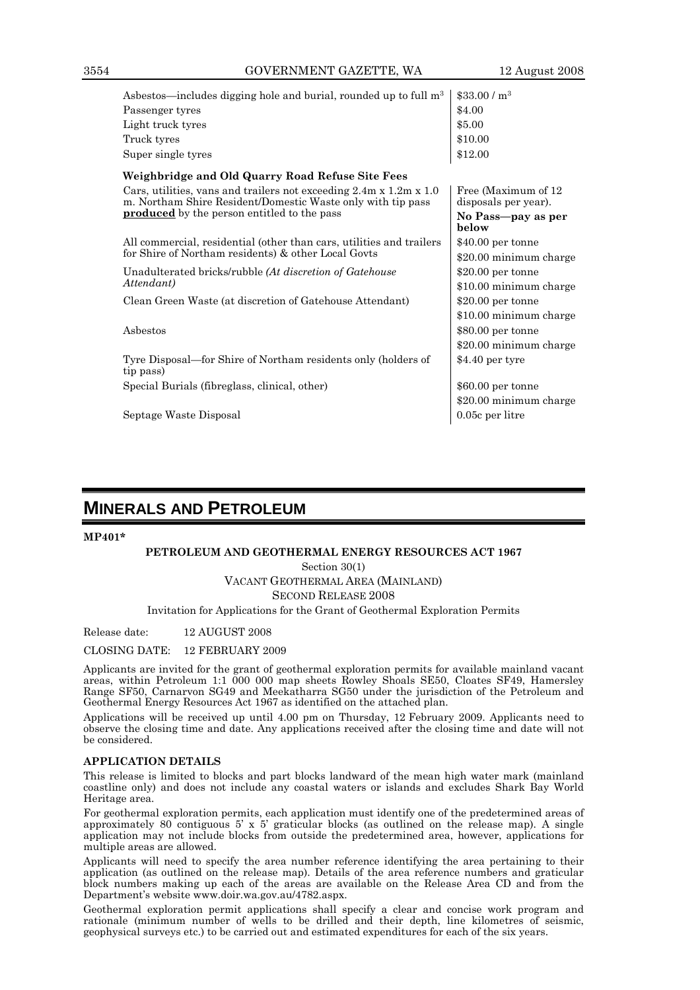| Asbestos—includes digging hole and burial, rounded up to full m <sup>3</sup>                                                                  | \$33.00 / m <sup>3</sup>                     |
|-----------------------------------------------------------------------------------------------------------------------------------------------|----------------------------------------------|
| Passenger tyres                                                                                                                               | \$4.00                                       |
| Light truck tyres                                                                                                                             | \$5.00                                       |
| Truck tyres                                                                                                                                   | \$10.00                                      |
| Super single tyres                                                                                                                            | \$12.00                                      |
| Weighbridge and Old Quarry Road Refuse Site Fees                                                                                              |                                              |
| Cars, utilities, vans and trailers not exceeding $2.4m \times 1.2m \times 1.0$<br>m. Northam Shire Resident/Domestic Waste only with tip pass | Free (Maximum of 12)<br>disposals per year). |
| <b>produced</b> by the person entitled to the pass                                                                                            | No Pass—pay as per<br>below                  |
| All commercial, residential (other than cars, utilities and trailers                                                                          | $$40.00$ per tonne                           |
| for Shire of Northam residents) & other Local Govts                                                                                           | \$20.00 minimum charge                       |
| Unadulterated bricks/rubble (At discretion of Gatehouse                                                                                       | $$20.00$ per tonne                           |
| Attendant)                                                                                                                                    | \$10.00 minimum charge                       |
| Clean Green Waste (at discretion of Gatehouse Attendant)                                                                                      | $$20.00$ per tonne                           |
|                                                                                                                                               | \$10.00 minimum charge                       |
| Asbestos                                                                                                                                      | $$80.00$ per tonne                           |
|                                                                                                                                               | \$20.00 minimum charge                       |
| Tyre Disposal—for Shire of Northam residents only (holders of<br>tip pass)                                                                    | $$4.40$ per tyre                             |
| Special Burials (fibreglass, clinical, other)                                                                                                 | $$60.00$ per tonne                           |
|                                                                                                                                               | \$20.00 minimum charge                       |
| Septage Waste Disposal                                                                                                                        | $0.05c$ per litre                            |
|                                                                                                                                               |                                              |

# **MINERALS AND PETROLEUM**

#### **MP401\***

#### **PETROLEUM AND GEOTHERMAL ENERGY RESOURCES ACT 1967**

Section 30(1) VACANT GEOTHERMAL AREA (MAINLAND) SECOND RELEASE 2008

Invitation for Applications for the Grant of Geothermal Exploration Permits

Release date: 12 AUGUST 2008

CLOSING DATE: 12 FEBRUARY 2009

Applicants are invited for the grant of geothermal exploration permits for available mainland vacant areas, within Petroleum 1:1 000 000 map sheets Rowley Shoals SE50, Cloates SF49, Hamersley Range SF50, Carnarvon SG49 and Meekatharra SG50 under the jurisdiction of the Petroleum and Geothermal Energy Resources Act 1967 as identified on the attached plan.

Applications will be received up until 4.00 pm on Thursday, 12 February 2009. Applicants need to observe the closing time and date. Any applications received after the closing time and date will not be considered.

#### **APPLICATION DETAILS**

This release is limited to blocks and part blocks landward of the mean high water mark (mainland coastline only) and does not include any coastal waters or islands and excludes Shark Bay World Heritage area.

For geothermal exploration permits, each application must identify one of the predetermined areas of approximately 80 contiguous  $5' \times 5'$  graticular blocks (as outlined on the release map). A single application may not include blocks from outside the predetermined area, however, applications for multiple areas are allowed.

Applicants will need to specify the area number reference identifying the area pertaining to their application (as outlined on the release map). Details of the area reference numbers and graticular block numbers making up each of the areas are available on the Release Area CD and from the Department's website www.doir.wa.gov.au/4782.aspx.

Geothermal exploration permit applications shall specify a clear and concise work program and rationale (minimum number of wells to be drilled and their depth, line kilometres of seismic, geophysical surveys etc.) to be carried out and estimated expenditures for each of the six years.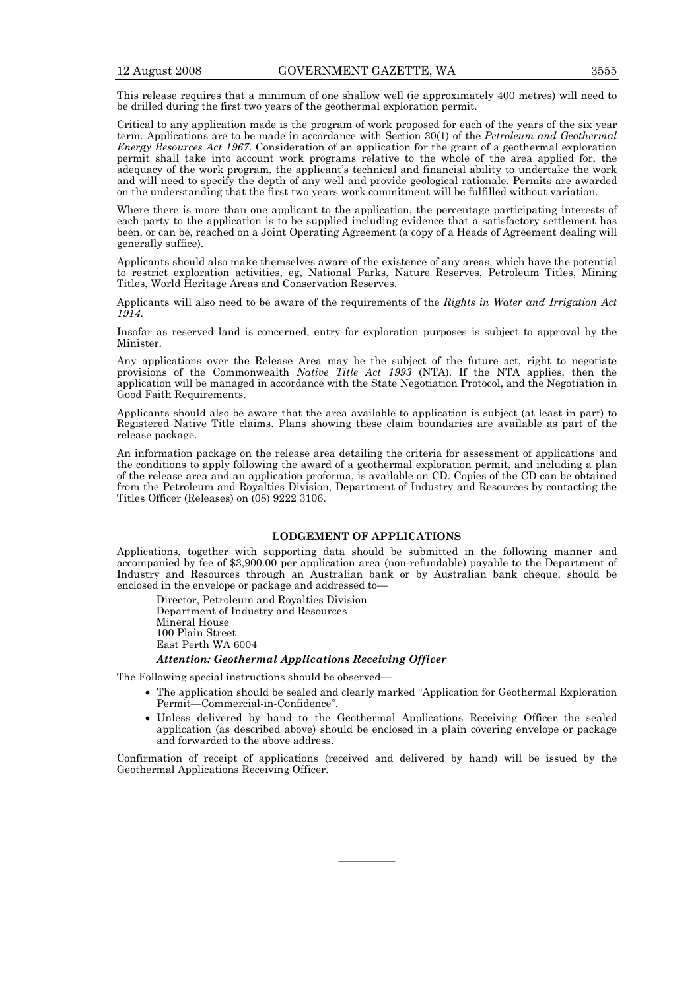This release requires that a minimum of one shallow well (ie approximately 400 metres) will need to be drilled during the first two years of the geothermal exploration permit.

Critical to any application made is the program of work proposed for each of the years of the six year term. Applications are to be made in accordance with Section 30(1) of the *Petroleum and Geothermal Energy Resources Act 1967*. Consideration of an application for the grant of a geothermal exploration permit shall take into account work programs relative to the whole of the area applied for, the adequacy of the work program, the applicant's technical and financial ability to undertake the work and will need to specify the depth of any well and provide geological rationale. Permits are awarded on the understanding that the first two years work commitment will be fulfilled without variation.

Where there is more than one applicant to the application, the percentage participating interests of each party to the application is to be supplied including evidence that a satisfactory settlement has been, or can be, reached on a Joint Operating Agreement (a copy of a Heads of Agreement dealing will generally suffice).

Applicants should also make themselves aware of the existence of any areas, which have the potential to restrict exploration activities, eg, National Parks, Nature Reserves, Petroleum Titles, Mining Titles, World Heritage Areas and Conservation Reserves.

Applicants will also need to be aware of the requirements of the *Rights in Water and Irrigation Act 1914*.

Insofar as reserved land is concerned, entry for exploration purposes is subject to approval by the Minister.

Any applications over the Release Area may be the subject of the future act, right to negotiate provisions of the Commonwealth *Native Title Act 1993* (NTA). If the NTA applies, then the application will be managed in accordance with the State Negotiation Protocol, and the Negotiation in Good Faith Requirements.

Applicants should also be aware that the area available to application is subject (at least in part) to Registered Native Title claims. Plans showing these claim boundaries are available as part of the release package.

An information package on the release area detailing the criteria for assessment of applications and the conditions to apply following the award of a geothermal exploration permit, and including a plan of the release area and an application proforma, is available on CD. Copies of the CD can be obtained from the Petroleum and Royalties Division, Department of Industry and Resources by contacting the Titles Officer (Releases) on (08) 9222 3106.

#### **LODGEMENT OF APPLICATIONS**

Applications, together with supporting data should be submitted in the following manner and accompanied by fee of \$3,900.00 per application area (non-refundable) payable to the Department of Industry and Resources through an Australian bank or by Australian bank cheque, should be enclosed in the envelope or package and addressed to—

 Director, Petroleum and Royalties Division Department of Industry and Resources Mineral House 100 Plain Street East Perth WA 6004

#### *Attention: Geothermal Applications Receiving Officer*

The Following special instructions should be observed—

- The application should be sealed and clearly marked "Application for Geothermal Exploration Permit—Commercial-in-Confidence".
- Unless delivered by hand to the Geothermal Applications Receiving Officer the sealed application (as described above) should be enclosed in a plain covering envelope or package and forwarded to the above address.

Confirmation of receipt of applications (received and delivered by hand) will be issued by the Geothermal Applications Receiving Officer.

————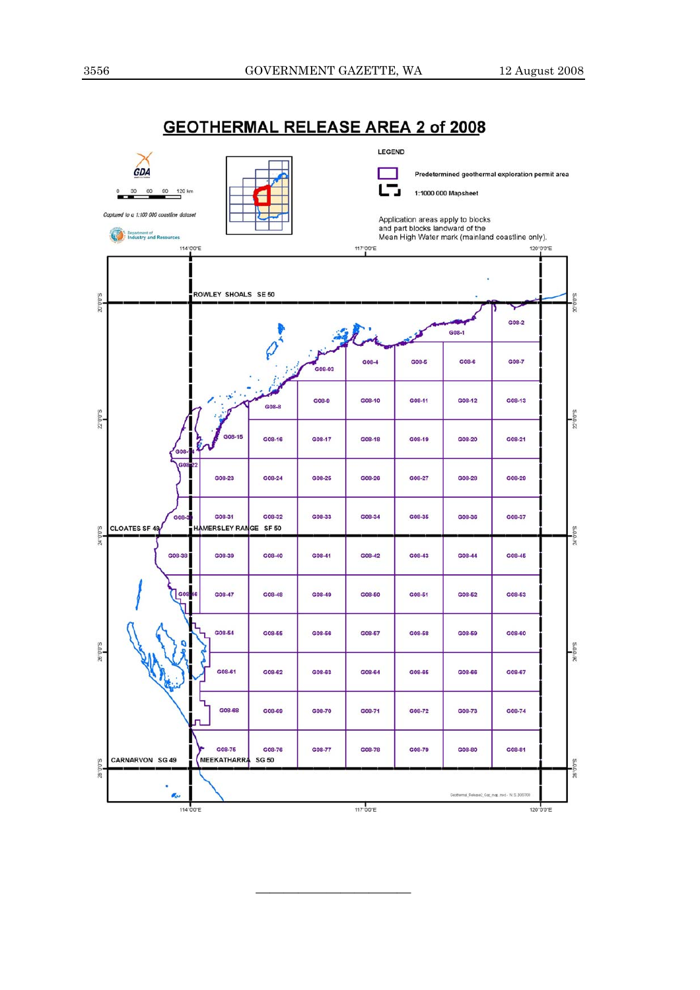



———————————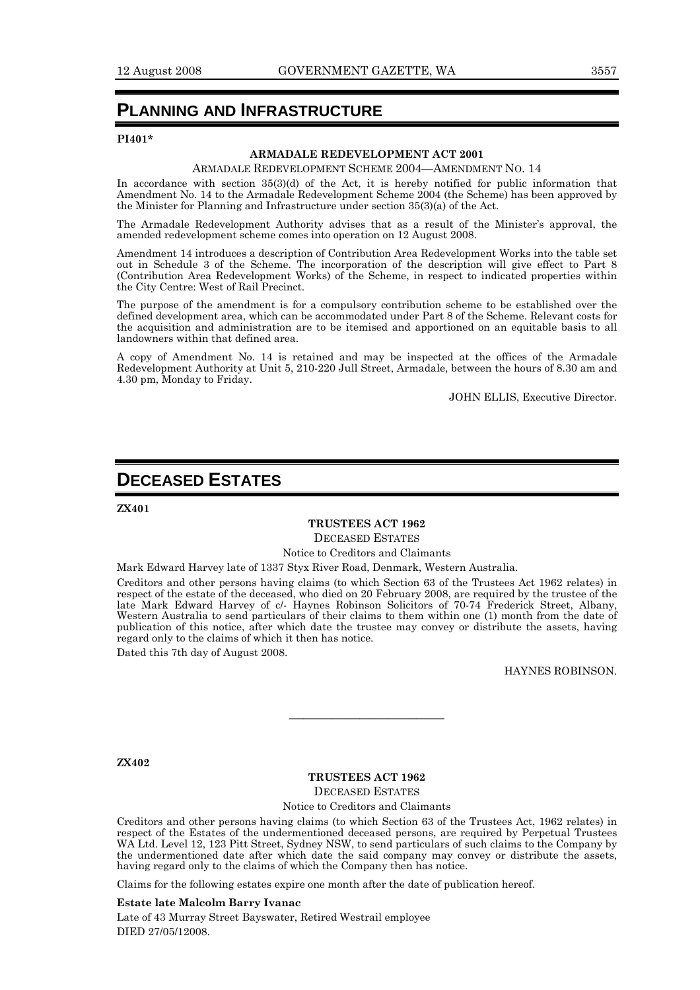# **PLANNING AND INFRASTRUCTURE**

#### **PI401\***

#### **ARMADALE REDEVELOPMENT ACT 2001**

#### ARMADALE REDEVELOPMENT SCHEME 2004—AMENDMENT NO. 14

In accordance with section  $35(3)(d)$  of the Act, it is hereby notified for public information that Amendment No. 14 to the Armadale Redevelopment Scheme 2004 (the Scheme) has been approved by the Minister for Planning and Infrastructure under section 35(3)(a) of the Act.

The Armadale Redevelopment Authority advises that as a result of the Minister's approval, the amended redevelopment scheme comes into operation on 12 August 2008.

Amendment 14 introduces a description of Contribution Area Redevelopment Works into the table set out in Schedule 3 of the Scheme. The incorporation of the description will give effect to Part 8 (Contribution Area Redevelopment Works) of the Scheme, in respect to indicated properties within the City Centre: West of Rail Precinct.

The purpose of the amendment is for a compulsory contribution scheme to be established over the defined development area, which can be accommodated under Part 8 of the Scheme. Relevant costs for the acquisition and administration are to be itemised and apportioned on an equitable basis to all landowners within that defined area.

A copy of Amendment No. 14 is retained and may be inspected at the offices of the Armadale Redevelopment Authority at Unit 5, 210-220 Jull Street, Armadale, between the hours of 8.30 am and 4.30 pm, Monday to Friday.

JOHN ELLIS, Executive Director.

# **DECEASED ESTATES**

**ZX401** 

## **TRUSTEES ACT 1962**  DECEASED ESTATES

Notice to Creditors and Claimants

Mark Edward Harvey late of 1337 Styx River Road, Denmark, Western Australia.

Creditors and other persons having claims (to which Section 63 of the Trustees Act 1962 relates) in respect of the estate of the deceased, who died on 20 February 2008, are required by the trustee of the late Mark Edward Harvey of c/- Haynes Robinson Solicitors of 70-74 Frederick Street, Albany, Western Australia to send particulars of their claims to them within one (1) month from the date of publication of this notice, after which date the trustee may convey or distribute the assets, having regard only to the claims of which it then has notice.

Dated this 7th day of August 2008.

HAYNES ROBINSON.

**ZX402** 

#### **TRUSTEES ACT 1962**

———————————

DECEASED ESTATES

Notice to Creditors and Claimants

Creditors and other persons having claims (to which Section 63 of the Trustees Act, 1962 relates) in respect of the Estates of the undermentioned deceased persons, are required by Perpetual Trustees WA Ltd. Level 12, 123 Pitt Street, Sydney NSW, to send particulars of such claims to the Company by the undermentioned date after which date the said company may convey or distribute the assets, having regard only to the claims of which the Company then has notice.

Claims for the following estates expire one month after the date of publication hereof.

#### **Estate late Malcolm Barry Ivanac**

Late of 43 Murray Street Bayswater, Retired Westrail employee DIED 27/05/12008.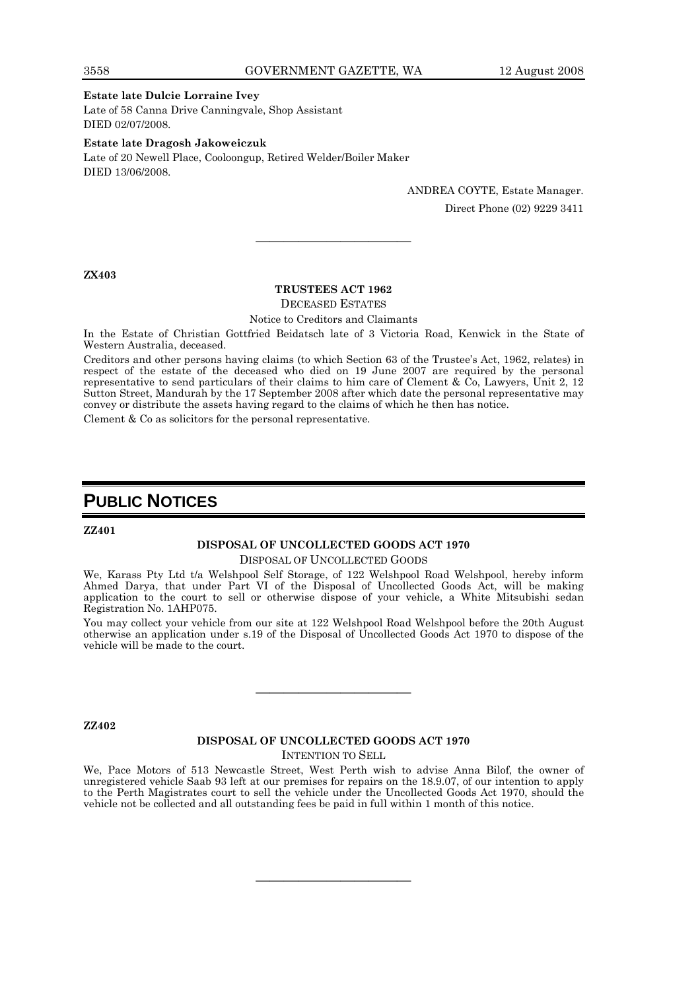#### **Estate late Dulcie Lorraine Ivey**

Late of 58 Canna Drive Canningvale, Shop Assistant DIED 02/07/2008.

**Estate late Dragosh Jakoweiczuk**  Late of 20 Newell Place, Cooloongup, Retired Welder/Boiler Maker DIED 13/06/2008.

> ANDREA COYTE, Estate Manager. Direct Phone (02) 9229 3411

**ZX403** 

#### **TRUSTEES ACT 1962**

———————————

DECEASED ESTATES

Notice to Creditors and Claimants

In the Estate of Christian Gottfried Beidatsch late of 3 Victoria Road, Kenwick in the State of Western Australia, deceased.

Creditors and other persons having claims (to which Section 63 of the Trustee's Act, 1962, relates) in respect of the estate of the deceased who died on 19 June 2007 are required by the personal representative to send particulars of their claims to him care of Clement & Co, Lawyers, Unit 2, 12 Sutton Street, Mandurah by the 17 September 2008 after which date the personal representative may convey or distribute the assets having regard to the claims of which he then has notice.

Clement & Co as solicitors for the personal representative.

# **PUBLIC NOTICES**

**ZZ401** 

#### **DISPOSAL OF UNCOLLECTED GOODS ACT 1970**  DISPOSAL OF UNCOLLECTED GOODS

We, Karass Pty Ltd t/a Welshpool Self Storage, of 122 Welshpool Road Welshpool, hereby inform Ahmed Darya, that under Part VI of the Disposal of Uncollected Goods Act, will be making application to the court to sell or otherwise dispose of your vehicle, a White Mitsubishi sedan Registration No. 1AHP075.

You may collect your vehicle from our site at 122 Welshpool Road Welshpool before the 20th August otherwise an application under s.19 of the Disposal of Uncollected Goods Act 1970 to dispose of the vehicle will be made to the court.

**ZZ402** 

# **DISPOSAL OF UNCOLLECTED GOODS ACT 1970**

———————————

INTENTION TO SELL

We, Pace Motors of 513 Newcastle Street, West Perth wish to advise Anna Bilof, the owner of unregistered vehicle Saab 93 left at our premises for repairs on the 18.9.07, of our intention to apply to the Perth Magistrates court to sell the vehicle under the Uncollected Goods Act 1970, should the vehicle not be collected and all outstanding fees be paid in full within 1 month of this notice.

———————————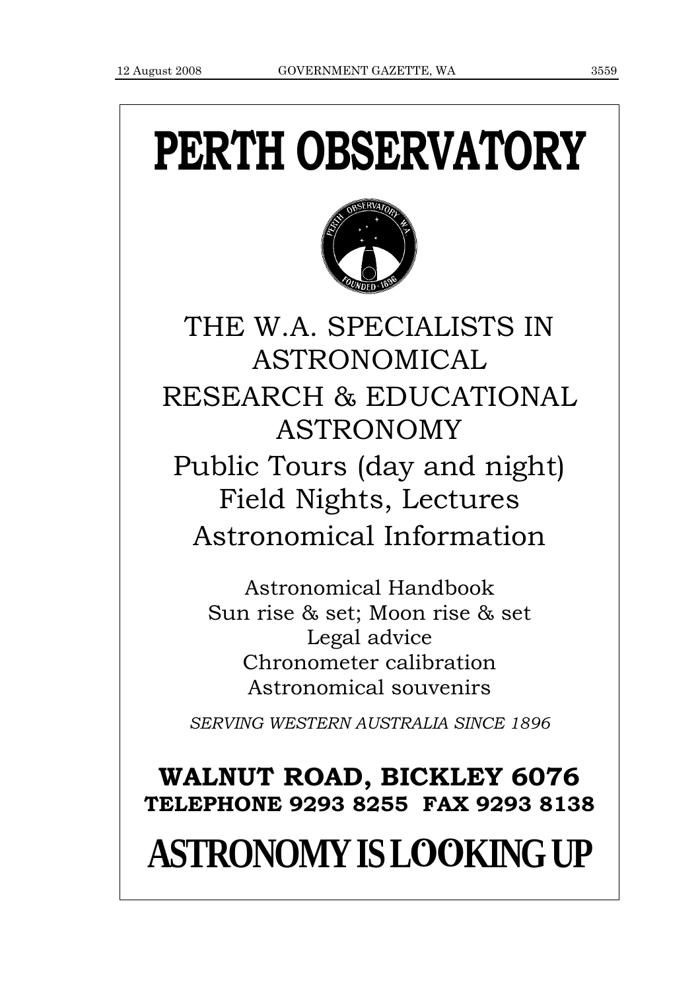# **PERTH OBSERVATORY**



THE W.A. SPECIALISTS IN ASTRONOMICAL RESEARCH & EDUCATIONAL ASTRONOMY Public Tours (day and night) Field Nights, Lectures Astronomical Information

> Astronomical Handbook Sun rise & set; Moon rise & set Legal advice Chronometer calibration Astronomical souvenirs

*SERVING WESTERN AUSTRALIA SINCE 1896*

# **WALNUT ROAD, BICKLEY 6076 TELEPHONE 9293 8255 FAX 9293 8138**

# **ASTRONOMY IS LOOKING UP**